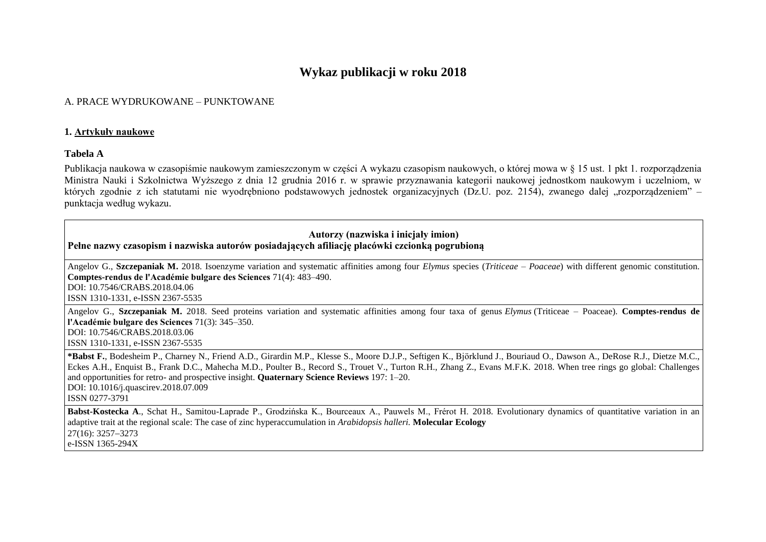# **Wykaz publikacji w roku 2018**

# A. PRACE WYDRUKOWANE – PUNKTOWANE

#### **1. Artykuły naukowe**

#### **Tabela A**

Publikacja naukowa w czasopiśmie naukowym zamieszczonym w części A wykazu czasopism naukowych, o której mowa w § 15 ust. 1 pkt 1. rozporządzenia Ministra Nauki i Szkolnictwa Wyższego z dnia 12 grudnia 2016 r. w sprawie przyznawania kategorii naukowej jednostkom naukowym i uczelniom, w których zgodnie z ich statutami nie wyodrębniono podstawowych jednostek organizacyjnych (Dz.U. poz. 2154), zwanego dalej "rozporządzeniem" – punktacja według wykazu.

# **Autorzy (nazwiska i inicjały imion) Pełne nazwy czasopism i nazwiska autorów posiadających afiliację placówki czcionką pogrubioną**

Angelov G., **Szczepaniak M.** 2018. Isoenzyme variation and systematic affinities among four *Elymus* species (*Triticeae* – *Poaceae*) with different genomic constitution. **Comptes-rendus de l'Académie bulgare des Sciences** 71(4): 483–490. DOI: 10.7546/CRABS.2018.04.06 ISSN 1310-1331, e-ISSN 2367-5535

Angelov G., **Szczepaniak M.** 2018. Seed proteins variation and systematic affinities among four taxa of genus *Elymus* (Triticeae – Poaceae). **Comptes-rendus de l'Académie bulgare des Sciences** 71(3): 345–350. DOI: 10.7546/CRABS.2018.03.06 ISSN 1310-1331, e-ISSN 2367-5535

**[\\*Babst F.](https://www.sciencedirect.com/science/article/pii/S0277379118300891#!)**, [Bodesheim P., Charney N.,](https://www.sciencedirect.com/science/article/pii/S0277379118300891#!) [Friend A.D., Girardin M.P., Klesse S., Moore D.J.P., Seftigen](https://www.sciencedirect.com/science/article/pii/S0277379118300891#!) K., [Björklund J., Bouriaud](https://www.sciencedirect.com/science/article/pii/S0277379118300891#!) O., [Dawson A., DeRose](https://www.sciencedirect.com/science/article/pii/S0277379118300891#!) R.J., [Dietze](https://www.sciencedirect.com/science/article/pii/S0277379118300891#!) M.C., [Eckes A.H., Enquist B., Frank D.C., Mahecha M.D., Poulter B., Record S., Trouet V., Turton R.H., Zhang Z., Evans M.F.K.](https://www.sciencedirect.com/science/article/pii/S0277379118300891#!) 2018. When tree rings go global: Challenges and opportunities for retro- and prospective insight. **Quaternary Science Reviews** 197: 1–20. [DOI: 10.1016/j.quascirev.2018.07.009](https://doi.org/10.1016/j.quascirev.2018.07.009) ISSN 0277-3791

**Babst-Kostecka A**., Schat H., Samitou-Laprade P., Grodzińska K., Bourceaux A., Pauwels M., Frérot H. 2018. Evolutionary dynamics of quantitative variation in an adaptive trait at the regional scale: The case of zinc hyperaccumulation in *Arabidopsis halleri.* **Molecular Ecology** 27(16): 3257-3273 e-ISSN 1365-294X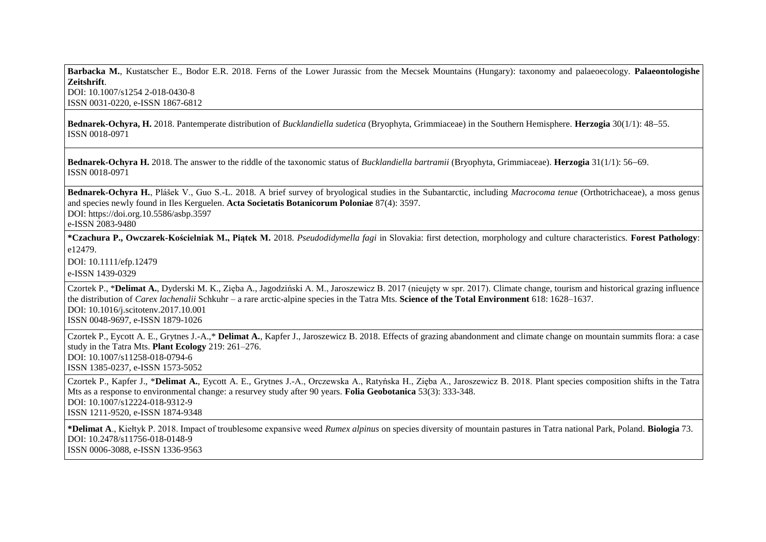**Barbacka M.**, Kustatscher E., Bodor E.R. 2018. Ferns of the Lower Jurassic from the Mecsek Mountains (Hungary): taxonomy and palaeoecology. **Palaeontologishe Zeitshrift**.

DOI: 10.1007/s1254 2-018-0430-8 ISSN 0031-0220, e-ISSN 1867-6812

**Bednarek-Ochyra, H.** 2018. Pantemperate distribution of *Bucklandiella sudetica* (Bryophyta, Grimmiaceae) in the Southern Hemisphere. **Herzogia** 30(1/1): 4855. ISSN 0018-0971

**Bednarek-Ochyra H.** 2018. The answer to the riddle of the taxonomic status of *Bucklandiella bartramii* (Bryophyta, Grimmiaceae). **Herzogia** 31(1/1): 56–69. ISSN 0018-0971

**Bednarek-Ochyra H.**, Plášek V., Guo S.-L. 2018. A brief survey of bryological studies in the Subantarctic, including *Macrocoma tenue* (Orthotrichaceae), a moss genus and species newly found in Iles Kerguelen. **Acta Societatis Botanicorum Poloniae** 87(4): 3597. DOI: https://doi.org.10.5586/asbp.3597

e-ISSN 2083-9480

**\*Czachura P., Owczarek-Kościelniak M., Piątek M.** 2018. *Pseudodidymella fagi* in Slovakia: first detection, morphology and culture characteristics. **Forest Pathology**: e12479.

DOI: 10.1111/efp.12479

e-ISSN 1439-0329

Czortek P., \***Delimat A.**, Dyderski M. K., Zięba A., Jagodziński A. M., Jaroszewicz B. 2017 (nieujęty w spr. 2017). Climate change, tourism and historical grazing influence the distribution of *Carex lachenalii* Schkuhr – a rare arctic-alpine species in the Tatra Mts. **Science of the Total Environment** 618: 1628–1637. DOI: 10.1016/j.scitotenv.2017.10.001 ISSN 0048-9697, e-ISSN 1879-1026

Czortek P., Eycott A. E., Grytnes J.-A.,\* **Delimat A.**, Kapfer J., Jaroszewicz B. 2018. Effects of grazing abandonment and climate change on mountain summits flora: a case study in the Tatra Mts. **Plant Ecology** 219: 261–276. DOI: 10.1007/s11258-018-0794-6 ISSN 1385-0237, e-ISSN 1573-5052

Czortek P., Kapfer J., \***Delimat A.**, Eycott A. E., Grytnes J.-A., Orczewska A., Ratyńska H., Zięba A., Jaroszewicz B. 2018. Plant species composition shifts in the Tatra Mts as a response to environmental change: a resurvey study after 90 years. **Folia Geobotanica** 53(3): 333-348. DOI: 10.1007/s12224-018-9312-9 ISSN 1211-9520, e-ISSN 1874-9348

**\*Delimat A**., Kiełtyk P. 2018. Impact of troublesome expansive weed *Rumex alpinus* on species diversity of mountain pastures in Tatra national Park, Poland. **Biologia** 73. DOI: 10.2478/s11756-018-0148-9 ISSN 0006-3088, e-ISSN 1336-9563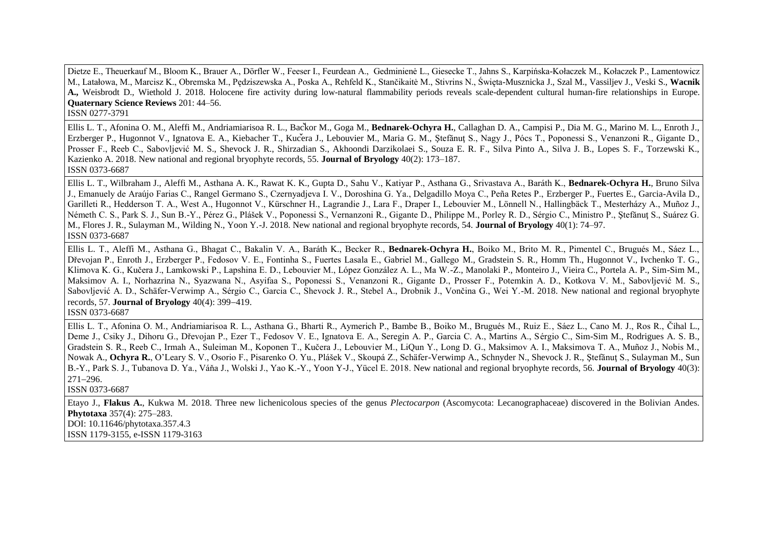Dietze E., Theuerkauf M., Bloom K., Brauer A., Dörfler W., Feeser I., Feurdean A., Gedminienė L., Giesecke T., Jahns S., Karpińska-Kołaczek M., Kołaczek P., Lamentowicz M., Latałowa, M., Marcisz K., Obremska M., Pędziszewska A., Poska A., Rehfeld K., Stančikaitė M., Stivrins N., Święta-Musznicka J., Szal M., Vassiljev J., Veski S., **Wacnik A.,** Weisbrodt D., Wiethold J. 2018. Holocene fire activity during low-natural flammability periods reveals scale-dependent cultural human-fire relationships in Europe. **Quaternary Science Reviews** 201: 44–56.

ISSN 0277-3791

Ellis L. T., Afonina O. M., Aleffi M., Andriamiarisoa R. L., Bac kor M., Goga M., **Bednarek-Ochyra H.**, Callaghan D. A., Campisi P., Dia M. G., Marino M. L., Enroth J., Erzberger P., Hugonnot V., Ignatova E. A., Kiebacher T., Kucera J., Lebouvier M., Maria G. M., Stefănut S., Nagy J., Pócs T., Poponessi S., Venanzoni R., Gigante D., Prosser F., Reeb C., Sabovljević M. S., Shevock J. R., Shirzadian S., Akhoondi Darzikolaei S., Souza E. R. F., Silva Pinto A., Silva J. B., Lopes S. F., Torzewski K., Kazienko A. 2018. New national and regional bryophyte records, 55. **Journal of Bryology** 40(2): 173–187. ISSN 0373-6687

Ellis L. T., Wilbraham J., Aleffi M., Asthana A. K., Rawat K. K., Gupta D., Sahu V., Katiyar P., Asthana G., Srivastava A., Baráth K., **Bednarek-Ochyra H.**, Bruno Silva J., Emanuely de Araújo Farias C., Rangel Germano S., Czernyadieva I. V., Doroshina G. Ya., Delgadillo Moya C., Peña Retes P., Erzberger P., Fuertes E., Garcia-Avila D., Garilleti R., Hedderson T. A., West A., Hugonnot V., Kürschner H., Lagrandie J., Lara F., Draper I., Lebouvier M., Lönnell N., Hallingbäck T., Mesterházy A., Muñoz J., Németh C. S., Park S. J., Sun B.-Y., Pérez G., Plášek V., Poponessi S., Vernanzoni R., Gigante D., Philippe M., Porley R. D., Sérgio C., Ministro P., Stefănut S., Suárez G. M., Flores J. R., Sulayman M., Wilding N., Yoon Y.-J. 2018. New national and regional bryophyte records, 54. **Journal of Bryology** 40(1): 74–97. ISSN 0373-6687

Ellis L. T., Aleffi M., Asthana G., Bhagat C., Bakalin V. A., Baráth K., Becker R., Bednarek-Ochyra H., Boiko M., Brito M. R., Pimentel C., Brugués M., Sáez L. Dřevojan P., Enroth J., Erzberger P., Fedosov V. E., Fontinha S., Fuertes Lasala E., Gabriel M., Gallego M., Gradstein S. R., Homm Th., Hugonnot V., Ivchenko T. G., Klimova K. G., Kučera J., Lamkowski P., Lapshina E. D., Lebouvier M., López González A. L., Ma W.-Z., Manolaki P., Monteiro J., Vieira C., Portela A. P., Sim-Sim M., Maksimov A. I., Norhazrina N., Syazwana N., Asyifaa S., Poponessi S., Venanzoni R., Gigante D., Prosser F., Potemkin A. D., Kotkova V. M., Sabovliević M. S., Sabovljević A. D., Schäfer-Verwimp A., Sérgio C., Garcia C., Shevock J. R., Stebel A., Drobnik J., Vončina G., Wei Y.-M. 2018. New national and regional bryophyte records, 57. **Journal of Bryology** 40(4): 399–419.

ISSN 0373-6687

Ellis L. T., Afonina O. M., Andriamiarisoa R. L., Asthana G., Bharti R., Aymerich P., Bambe B., Boiko M., Brugués M., Ruiz E., Sáez L., ano M. J., Ros R., Čihal L., Deme J., Csiky J., Dihoru G., Dřevojan P., Ezer T., Fedosov V. E., Ignatova E. A., Seregin A. P., Garcia C. A., Martins A., Sérgio C., Sim-Sim M., Rodrigues A. S. B., Gradstein S. R., Reeb C., Irmah A., Suleiman M., Koponen T., Kučera J., Lebouvier M., LiQun Y., Long D. G., Maksimov A. I., Maksimova T. A., Muñoz J., Nobis M., Nowak A., Ochyra R., O'Leary S. V., Osorio F., Pisarenko O. Yu., Plášek V., Skoupá Z., Schäfer-Verwimp A., Schnyder N., Shevock J. R., Stefănut S., Sulayman M., Sun B.-Y., Park S. J., Tubanova D. Ya., Váňa J., Wolski J., Yao K.-Y., Yoon Y-J., Yücel E. 2018. New national and regional bryophyte records, 56. **Journal of Bryology** 40(3):  $271 - 296$ .

ISSN 0373-6687

Etayo J., **Flakus A.**, Kukwa M. 2018. Three new lichenicolous species of the genus *Plectocarpon* (Ascomycota: Lecanographaceae) discovered in the Bolivian Andes. **Phytotaxa** 357(4): 275–283. DOI: 10.11646/phytotaxa.357.4.3 ISSN 1179-3155, e-ISSN 1179-3163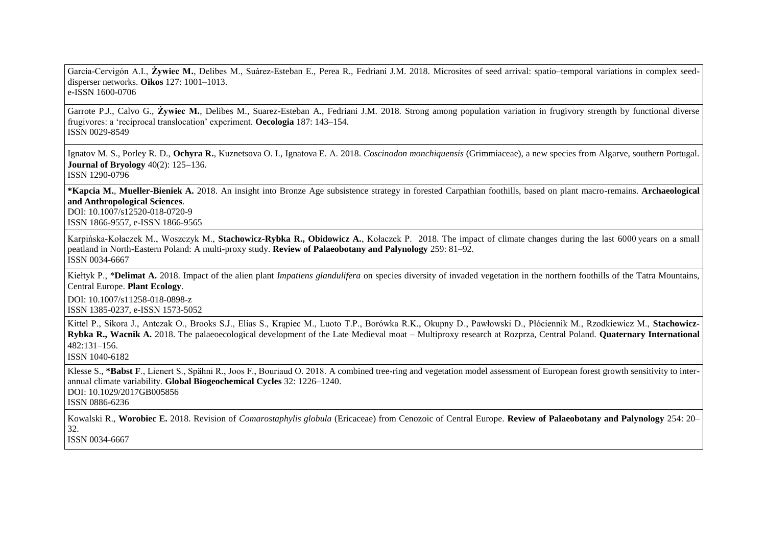García- ervigón A.I., **Żywiec M.**, Delibes M., Suárez-Esteban E., Perea R., Fedriani J.M. 2018. Microsites of seed arrival: spatio–temporal variations in complex seeddisperser networks. **Oikos** 127: 1001–1013. e-ISSN 1600-0706

Garrote P.J., Calvo G., **Żywiec M.**, Delibes M., Suarez-Esteban A., Fedriani J.M. 2018. Strong among population variation in frugivory strength by functional diverse frugivores: a 'reciprocal translocation' experiment. **Oecologia** 187: 143–154. ISSN 0029-8549

Ignatov M. S., Porley R. D., **Ochyra R.**, Kuznetsova O. I., Ignatova E. A. 2018. *Coscinodon monchiquensis* (Grimmiaceae), a new species from Algarve, southern Portugal. **Journal of Bryology** 40(2): 125–136. ISSN 1290-0796

**\*Kapcia M.**, **Mueller-Bieniek A.** 2018. An insight into Bronze Age subsistence strategy in forested Carpathian foothills, based on plant macro-remains. **Archaeological and Anthropological Sciences**. DOI: 10.1007/s12520-018-0720-9 ISSN 1866-9557, e-ISSN 1866-9565

Karpińska-Kołaczek M., Woszczyk M., **Stachowicz-Rybka R., Obidowicz A.**, Kołaczek P. 2018. The impact of climate changes during the last 6000 years on a small peatland in North-Eastern Poland: A multi-proxy study. **Review of Palaeobotany and Palynology** 259: 81–92. ISSN 0034-6667

Kiełtyk P., \***Delimat A.** 2018. Impact of the alien plant *Impatiens glandulifera* on species diversity of invaded vegetation in the northern foothills of the Tatra Mountains, Central Europe. **Plant Ecology**.

DOI: 10.1007/s11258-018-0898-z ISSN 1385-0237, e-ISSN 1573-5052

Kittel P., Sikora J., Antczak O., Brooks S.J., Elias S., Krąpiec M., Luoto T.P., Borówka R.K., Okupny D., Pawłowski D., Płóciennik M., Rzodkiewicz M., **Stachowicz-Rybka R., Wacnik A.** 2018. The palaeoecological development of the Late Medieval moat – Multiproxy research at Rozprza, Central Poland. **Quaternary International** 482:131–156.

ISSN 1040-6182

Klesse S., **\*Babst F**., Lienert S., Spähni R., Joos F., Bouriaud O. 2018. A combined tree-ring and vegetation model assessment of European forest growth sensitivity to interannual climate variability. **Global Biogeochemical Cycles** 32: 1226–1240. DOI: [10.1029/2017GB005856](https://doi.org/10.1029/2017GB005856) ISSN 0886-6236

Kowalski R., **Worobiec E.** 2018. Revision of *Comarostaphylis globula* (Ericaceae) from Cenozoic of Central Europe. **Review of Palaeobotany and Palynology** 254: 20– 32. ISSN 0034-6667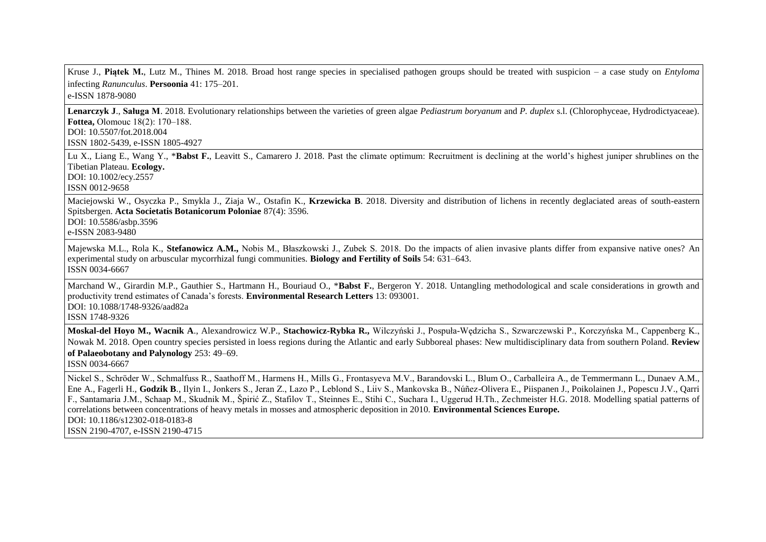Kruse J., **Piątek M.**, Lutz M., Thines M. 2018. Broad host range species in specialised pathogen groups should be treated with suspicion – a case study on *Entyloma* infecting *Ranunculus*. **Persoonia** 41: 175–201.

e-ISSN 1878-9080

**Lenarczyk J**., **Saługa M**. 2018. Evolutionary relationships between the varieties of green algae *Pediastrum boryanum* and *P. duplex* s.l. (Chlorophyceae, Hydrodictyaceae). **Fottea, Olomouc 18(2): 170–188.** DOI: 10.5507/fot.2018.004

ISSN 1802-5439, e-ISSN 1805-4927

Lu X., Liang E., Wang Y., \***Babst F.**, Leavitt S., Camarero J. 2018. Past the climate optimum: Recruitment is declining at the world's highest juniper shrublines on the Tibetian Plateau. **Ecology.** DOI: 10.1002/ecy.2557

ISSN 0012-9658

Maciejowski W., Osyczka P., Smykla J., Ziaja W., Ostafin K., **Krzewicka B**. 2018. Diversity and distribution of lichens in recently deglaciated areas of south-eastern Spitsbergen. **Acta Societatis Botanicorum Poloniae** 87(4): 3596.

DOI: 10.5586/asbp.3596

e-ISSN 2083-9480

Majewska M.L., Rola K., **Stefanowicz A.M.,** Nobis M., Błaszkowski J., Zubek S. 2018. Do the impacts of alien invasive plants differ from expansive native ones? An experimental study on arbuscular mycorrhizal fungi communities. **Biology and Fertility of Soils** 54: 631–643. ISSN 0034-6667

Marchand W., Girardin M.P., Gauthier S., Hartmann H., Bouriaud O., \***Babst F.**, Bergeron Y. 2018. Untangling methodological and scale considerations in growth and productivity trend estimates of Canada's forests. **Environmental Research Letters** 13: 093001. DOI: 10.1088/1748-9326/aad82a ISSN 1748-9326

Moskal-del Hoyo M., Wacnik A., Alexandrowicz W.P., Stachowicz-Rybka R., Wilczyński J., Pospuła-Wędzicha S., Szwarczewski P., Korczyńska M., Cappenberg K., Nowak M. 2018. Open country species persisted in loess regions during the Atlantic and early Subboreal phases: New multidisciplinary data from southern Poland. **Review of Palaeobotany and Palynology** 253: 49–69.

ISSN 0034-6667

Nickel S., Schröder W., Schmalfuss R., Saathoff M., Harmens H., Mills G., Frontasyeva M.V., Barandovski L., Blum O., Carballeira A., de Temmermann L., Dunaev A.M., Ene A., Fagerli H., **Godzik B**., Ilyin I., Jonkers S., Jeran Z., Lazo P., Leblond S., Liiv S., Mankovska B., Núñez-Olivera E., Piispanen J., Poikolainen J., Popescu J.V., Qarri F., Santamaria J.M., Schaap M., Skudnik M., Špirić Z., Stafilov T., Steinnes E., Stihi C., Suchara I., Uggerud H.Th., Zechmeister H.G. 2018. Modelling spatial patterns of correlations between concentrations of heavy metals in mosses and atmospheric deposition in 2010. **Environmental Sciences Europe.** DOI: 10.1186/s12302-018-0183-8 ISSN 2190-4707, e-ISSN 2190-4715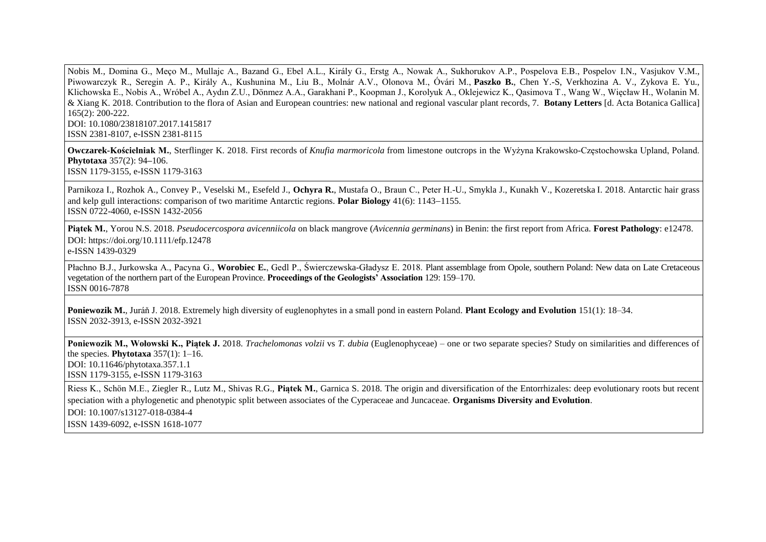Nobis M., Domina G., Meço M., Mullajc A., Bazand G., Ebel A.L., Király G., Erstg A., Nowak A., Sukhorukov A.P., Pospelova E.B., Pospelov I.N., Vasjukov V.M., Piwowarczyk R., Seregin A. P., Király A., Kushunina M., Liu B., Molnár A.V., Olonova M., Óvári M., **Paszko B.**, Chen Y.-S, Verkhozina A. V., Zykova E. Yu., Klichowska E., Nobis A., Wróbel A., Aydın Z.U., Dönmez A.A., Garakhani P., Koopman J., Korolyuk A., Oklejewicz K., Qasimova T., Wang W., Więcław H., Wolanin M. & Xiang K. 2018. Contribution to the flora of Asian and European countries: new national and regional vascular plant records, 7. **Botany Letters** [d. Acta Botanica Gallica] 165(2): 200-222. DOI: 10.1080/23818107.2017.1415817

ISSN 2381-8107, e-ISSN 2381-8115

**Owczarek-Kościelniak M.**, Sterflinger K. 2018. First records of *Knufia marmoricola* from limestone outcrops in the Wyżyna Krakowsko- zęstochowska Upland, Poland. **Phytotaxa** 357(2): 94**–**106. ISSN 1179-3155, e-ISSN 1179-3163

Parnikoza I., Rozhok A., Convey P., Veselski M., Esefeld J., **Ochyra R.**, Mustafa O., Braun С., Peter H.-U., Smykla J., Kunakh V., Kozeretska I. 2018. Antarctic hair grass and kelp gull interactions: comparison of two maritime Antarctic regions. **Polar Biology**  $41(6)$ : 1143–1155. ISSN 0722-4060, e-ISSN 1432-2056

**Piątek M.**, Yorou N.S. 2018. *Pseudocercospora avicenniicola* on black mangrove (*Avicennia germinans*) in Benin: the first report from Africa. **Forest Pathology**: e12478. DOI: https://doi.org/10.1111/efp.12478 e-ISSN 1439-0329

Płachno B.J., Jurkowska A., Pacyna G., **Worobiec E.**, Gedl P., Świerczewska-Gładysz E. 2018. Plant assemblage from Opole, southern Poland: New data on Late Cretaceous vegetation of the northern part of the European Province. **Proceedings of the Geologists' Association** 129: 159–170. ISSN 0016-7878

**Poniewozik M.**, Juráň J. 2018. Extremely high diversity of euglenophytes in a small pond in eastern Poland. **Plant Ecology and Evolution** 151(1): 18–34. ISSN 2032-3913, e-ISSN 2032-3921

**Poniewozik M., Wołowski K., Piątek J.** 2018. *Trachelomonas volzii* vs *T. dubia* (Euglenophyceae) – one or two separate species? Study on similarities and differences of the species. **Phytotaxa** 357(1): 1–16.

DOI: [10.11646/phytotaxa.357.1.1](http://dx.doi.org/10.11646/phytotaxa.357.1.1) ISSN 1179-3155, e-ISSN 1179-3163

Riess K., Schön M.E., Ziegler R., Lutz M., Shivas R.G., **Piątek M.**, Garnica S. 2018. The origin and diversification of the Entorrhizales: deep evolutionary roots but recent speciation with a phylogenetic and phenotypic split between associates of the Cyperaceae and Juncaceae. **Organisms Diversity and Evolution**. DOI: [10.1007/s13127-018-0384-4](https://doi.org/10.1007/s13127-018-0384-4) ISSN 1439-6092, e-ISSN 1618-1077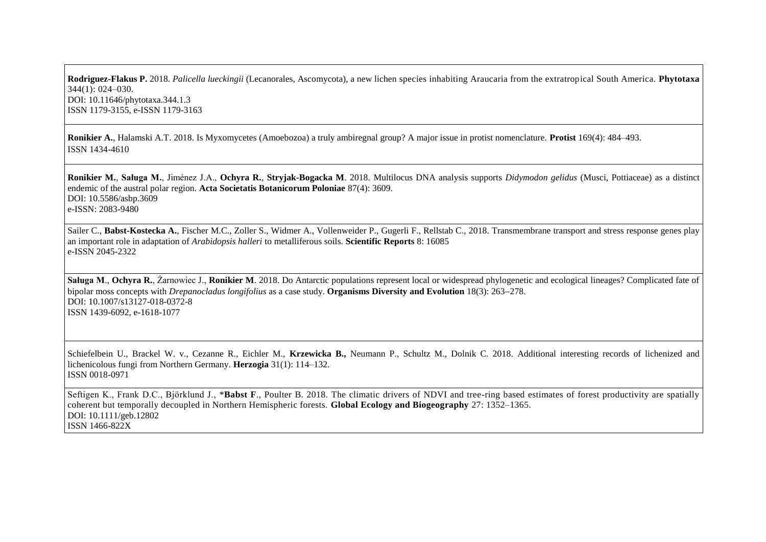**Rodriguez-Flakus P.** 2018. *Palicella lueckingii* (Lecanorales, Ascomycota), a new lichen species inhabiting Araucaria from the extratropical South America. **Phytotaxa** 344(1): 024–030. DOI: 10.11646/phytotaxa.344.1.3 ISSN 1179-3155, e-ISSN 1179-3163

**Ronikier A.**, Halamski A.T. 2018. Is Myxomycetes (Amoebozoa) a truly ambiregnal group? A major issue in protist nomenclature. **Protist** [169\(4\)](https://www.sciencedirect.com/science/journal/14344610/169/4): 484–493. ISSN 1434-4610

**Ronikier M.**, **Saługa M.**, Jiménez J.A., **Ochyra R.**, **Stryjak-Bogacka M**. 2018. Multilocus DNA analysis supports *Didymodon gelidus* (Musci, Pottiaceae) as a distinct endemic of the austral polar region. **Acta Societatis Botanicorum Poloniae** 87(4): 3609. DOI: 10.5586/asbp.3609 e-ISSN: 2083-9480

Sailer C., Babst-Kostecka A., Fischer M.C., Zoller S., Widmer A., Vollenweider P., Gugerli F., Rellstab C., 2018. Transmembrane transport and stress response genes play an important role in adaptation of *Arabidopsis halleri* to metalliferous soils. **Scientific Reports** 8: 16085 e-ISSN 2045-2322

**Saługa M**., **Ochyra R.**, Żarnowiec J., **Ronikier M**. 2018. Do Antarctic populations represent local or widespread phylogenetic and ecological lineages? Complicated fate of bipolar moss concepts with *Drepanocladus longifolius* as a case study. **Organisms Diversity and Evolution** 18(3): 263-278. DOI: 10.1007/s13127-018-0372-8 ISSN 1439-6092, e-1618-1077

Schiefelbein U., Brackel W. v., Cezanne R., Eichler M., Krzewicka B., Neumann P., Schultz M., Dolnik C. 2018. Additional interesting records of lichenized and lichenicolous fungi from Northern Germany. **Herzogia** 31(1): 114–132. ISSN 0018-0971

Seftigen K., Frank D.C., Björklund J., \***Babst F.**, Poulter B. 2018. The climatic drivers of NDVI and tree-ring based estimates of forest productivity are spatially coherent but temporally decoupled in Northern Hemispheric forests. **Global Ecology and Biogeography** 27: 1352–1365. DOI: 10.1111/geb.12802 ISSN 1466-822X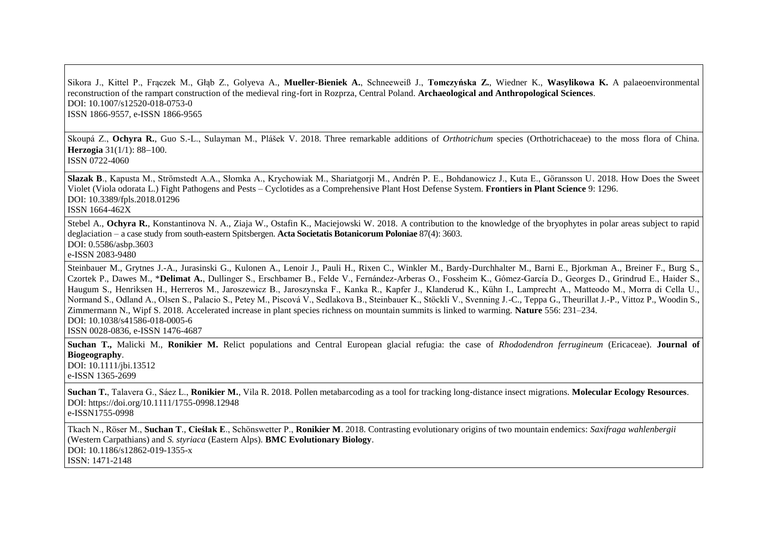Sikora J., Kittel P., Frączek M., Głąb Z., Golyeva A., **Mueller-Bieniek A.**, Schneeweiß J., **Tomczyńska Z.**, Wiedner K., **Wasylikowa K.** A palaeoenvironmental reconstruction of the rampart construction of the medieval ring-fort in Rozprza, Central Poland. **Archaeological and Anthropological Sciences**. DOI: 10.1007/s12520-018-0753-0 ISSN 1866-9557, e-ISSN 1866-9565

Skoupá Z., **Ochyra R.**, Guo S.-L., Sulayman M., Plášek V. 2018. Three remarkable additions of *Orthotrichum* species (Orthotrichaceae) to the moss flora of China. **Herzogia**  $31(1/1): 88-100$ . ISSN 0722-4060

**Slazak B**., Kapusta M., Strömstedt A.A., Słomka A., Krychowiak M., Shariatgorji M., Andrén P. E., Bohdanowicz J., Kuta E., Göransson U. 2018. How Does the Sweet Violet (Viola odorata L.) Fight Pathogens and Pests – Cyclotides as a Comprehensive Plant Host Defense System. **Frontiers in Plant Science** 9: 1296. DOI: 10.3389/fpls.2018.01296 ISSN 1664-462X

Stebel A., **Ochyra R.**, Konstantinova N. A., Ziaja W., Ostafin K., Maciejowski W. 2018. A contribution to the knowledge of the bryophytes in polar areas subject to rapid deglaciation – a case study from south-eastern Spitsbergen. **Acta Societatis Botanicorum Poloniae** 87(4): 3603. DOI: 0.5586/asbp.3603

e-ISSN 2083-9480

Steinbauer M., Grytnes J.-A., Jurasinski G., Kulonen A., Lenoir J., Pauli H., Rixen C., Winkler M., Bardy-Durchhalter M., Barni E., Bjorkman A., Breiner F., Burg S., Czortek P., Dawes M., \***Delimat A.**, Dullinger S., Erschbamer B., Felde V., Fernández-Arberas O., Fossheim K., Gómez-García D., Georges D., Grindrud E., Haider S., Haugum S., Henriksen H., Herreros M., Jaroszewicz B., Jaroszynska F., Kanka R., Kapfer J., Klanderud K., Kühn I., Lamprecht A., Matteodo M., Morra di Cella U., Normand S., Odland A., Olsen S., Palacio S., Petey M., Piscová V., Sedlakova B., Steinbauer K., Stöckli V., Svenning J.-C., Teppa G., Theurillat J.-P., Vittoz P., Woodin S., Zimmermann N., Wipf S. 2018. Accelerated increase in plant species richness on mountain summits is linked to warming. **Nature** 556: 231–234. DOI: 10.1038/s41586-018-0005-6

ISSN 0028-0836, e-ISSN 1476-4687

**Suchan T.,** Malicki M., **Ronikier M.** Relict populations and Central European glacial refugia: the case of *Rhododendron ferrugineum* (Ericaceae). **Journal of Biogeography**. DOI: 10.1111/jbi.13512

e-ISSN 1365-2699

**Suchan T.**, Talavera G., Sáez L., **Ronikier M.**, Vila R. 2018. Pollen metabarcoding as a tool for tracking long‐distance insect migrations. **Molecular Ecology Resources**. DOI:<https://doi.org/10.1111/1755-0998.12948>

e-ISSN1755-0998

Tkach N., Röser M., **Suchan T**., **Cieślak E**., Schönswetter P., **Ronikier M**. 2018. Contrasting evolutionary origins of two mountain endemics: *Saxifraga wahlenbergii*  (Western Carpathians) and *S. styriaca* (Eastern Alps). **BMC Evolutionary Biology**. DOI: 10.1186/s12862-019-1355-x ISSN: 1471-2148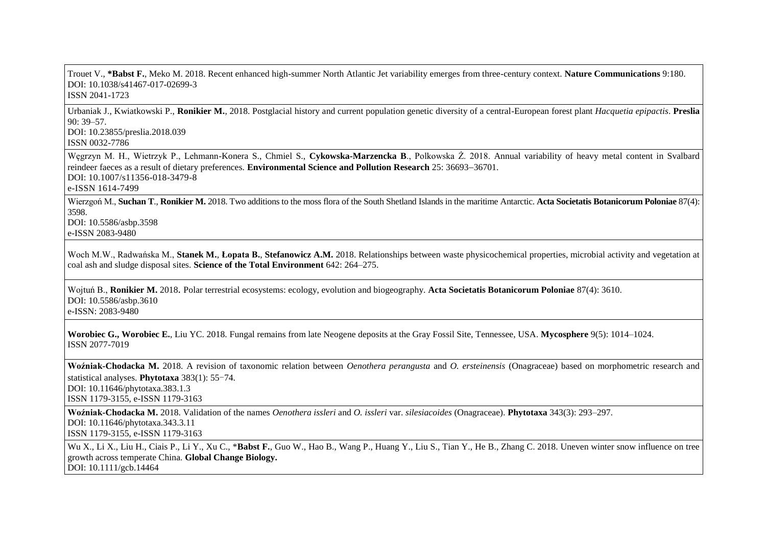Trouet V., **\*Babst F.**, Meko M. 2018. Recent enhanced high-summer North Atlantic Jet variability emerges from three-century context. **Nature Communications** 9:180. DOI: 10.1038/s41467-017-02699-3

ISSN 2041-1723

Urbaniak J., Kwiatkowski P., **Ronikier M.**, 2018. Postglacial history and current population genetic diversity of a central-European forest plant *Hacquetia epipactis*. **Preslia**  90: 39–57. DOI: 10.23855/preslia.2018.039

ISSN 0032-7786

Węgrzyn M. H., Wietrzyk P., Lehmann-Konera S., Chmiel S., **Cykowska-Marzencka B**., Polkowska Ż. 2018. Annual variability of heavy metal content in Svalbard reindeer faeces as a result of dietary preferences. **Environmental Science and Pollution Research** 25: 36693–36701. DOI: 10.1007/s11356-018-3479-8

e-ISSN 1614-7499

Wierzgoń M., **Suchan T**., **Ronikier M.** 2018. Two additions to the moss flora of the South Shetland Islands in the maritime Antarctic. **Acta Societatis Botanicorum Poloniae** 87(4): 3598.

DOI: 10.5586/asbp.3598 e-ISSN 2083-9480

Woch M.W., Radwańska M., **Stanek M., Łopata B., Stefanowicz A.M.** 2018. Relationships between waste physicochemical properties, microbial activity and vegetation at coal ash and sludge disposal sites. **Science of the Total Environment** 642: 264–275.

Wojtuń B., **Ronikier M.** 2018. Polar terrestrial ecosystems: ecology, evolution and biogeography. **Acta Societatis Botanicorum Poloniae** 87(4): 3610. DOI: 10.5586/asbp.3610 e-ISSN: 2083-9480

**Worobiec G., Worobiec E.**, Liu YC. 2018. Fungal remains from late Neogene deposits at the Gray Fossil Site, Tennessee, USA. **Mycosphere** 9(5): 1014–1024. ISSN 2077-7019

**Woźniak-Chodacka M.** 2018. A revision of taxonomic relation between *Oenothera perangusta* and *O. ersteinensis* (Onagraceae) based on morphometric research and statistical analyses. **Phytotaxa** 383(1): 55‒74.

DOI: 10.11646/phytotaxa.383.1.3 ISSN 1179-3155, e-ISSN 1179-3163

**Woźniak-Chodacka M.** 2018. Validation of the names *Oenothera issleri* and *O. issleri* var. *silesiacoides* (Onagraceae). **Phytotaxa** 343(3): 293–297.

DOI: 10.11646/phytotaxa.343.3.11 ISSN 1179-3155, e-ISSN 1179-3163

Wu X., Li X., Liu H., Ciais P., Li Y., Xu C., \***Babst F.**, [Guo W.](https://www.ncbi.nlm.nih.gov/pubmed/?term=Guo%20W%5BAuthor%5D&cauthor=true&cauthor_uid=30295402), [Hao B.](https://www.ncbi.nlm.nih.gov/pubmed/?term=Hao%20B%5BAuthor%5D&cauthor=true&cauthor_uid=30295402), [Wang P.](https://www.ncbi.nlm.nih.gov/pubmed/?term=Wang%20P%5BAuthor%5D&cauthor=true&cauthor_uid=30295402), [Huang Y.](https://www.ncbi.nlm.nih.gov/pubmed/?term=Huang%20Y%5BAuthor%5D&cauthor=true&cauthor_uid=30295402), [Liu S.](https://www.ncbi.nlm.nih.gov/pubmed/?term=Liu%20S%5BAuthor%5D&cauthor=true&cauthor_uid=30295402), [Tian Y.,](https://www.ncbi.nlm.nih.gov/pubmed/?term=Tian%20Y%5BAuthor%5D&cauthor=true&cauthor_uid=30295402) [He B.](https://www.ncbi.nlm.nih.gov/pubmed/?term=He%20B%5BAuthor%5D&cauthor=true&cauthor_uid=30295402)[, Zhang C.](https://www.ncbi.nlm.nih.gov/pubmed/?term=Zhang%20C%5BAuthor%5D&cauthor=true&cauthor_uid=30295402) 2018. Uneven winter snow influence on tree growth across temperate China. **Global Change Biology.** DOI: 10.1111/gcb.14464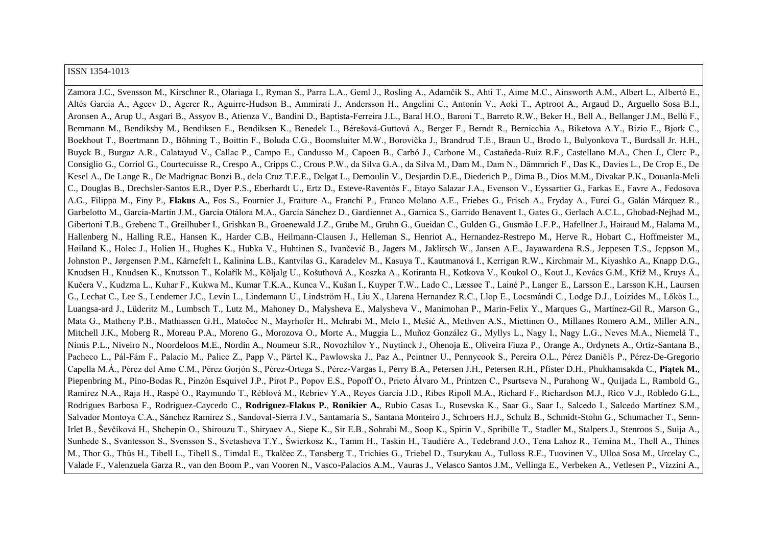#### ISSN 1354-1013

Zamora J.C., Svensson M., Kirschner R., Olariaga I., Ryman S., Parra L.A., Geml J., Rosling A., Adamčík S., Ahti T., Aime M.C., Ainsworth A.M., Albert L., Albertó E. Altés García A., Ageev D., Agerer R., Aguirre-Hudson B., Ammirati J., Andersson H., Angelini C., Antonín V., Aoki T., Aptroot A., Argaud D., Arguello Sosa B.I. Aronsen A., Arup U., Asgari B., Assyov B., Atienza V., Bandini D., Baptista-Ferreira J.L., Baral H.O., Baroni T., Barreto R.W., Beker H., Bell A., Bellanger J.M., Bellù F., Bemmann M., Bendiksby M., Bendiksen E., Bendiksen K., Benedek L., Bérešová-Guttová A., Berger F., Berndt R., Bernicchia A., Biketova A.Y., Bizio E., Bjork C., Boekhout T., Boertmann D., Böhning T., Boittin F., Boluda C.G., Boomsluiter M.W., Borovička J., Brandrud T.E., Braun U., Brodo I., Bulyonkova T., Burdsall Jr. H.H. Buyck B., Burgaz A.R., Calatayud V., Callac P., Campo E., Candusso M., Capoen B., Carbó J., Carbone M., Castañeda-Ruiz R.F., Castellano M.A., Chen J., Clerc P., Consiglio G., Corriol G., Courtecuisse R., Crespo A., Cripps C., Crous P.W., da Silva G.A., da Silva M., Dam M., Dam N., Dämmrich F., Das K., Davies L., De Crop E., De Kesel A., De Lange R., De Madrignac Bonzi B., dela Cruz T.E.E., Delgat L., Demoulin V., Desjardin D.E., Diederich P., Dima B., Dios M.M., Divakar P.K., Douanla-Meli C., Douglas B., Drechsler-Santos E.R., Dyer P.S., Eberhardt U., Ertz D., Esteve-Raventós F., Etayo Salazar J.A., Evenson V., Eyssartier G., Farkas E., Favre A., Fedosova A.G., Filippa M., Finy P., **Flakus A.**, Fos S., Fournier J., Fraiture A., Franchi P., Franco Molano A.E., Friebes G., Frisch A., Fryday A., Furci G., Galán Márquez R., Garbelotto M., García-Martín J.M., García Otálora M.A., García Sánchez D., Gardiennet A., Garnica S., Garrido Benavent I., Gates G., Gerlach A.C.L., Ghobad-Nejhad M., Gibertoni T.B., Grebenc T., Greilhuber I., Grishkan B., Groenewald J.Z., Grube M., Gruhn G., Gueidan C., Gulden G., Gusmão L.F.P., Hafellner J., Hairaud M., Halama M., Hallenberg N., Halling R.E., Hansen K., Harder C.B., Heilmann-Clausen J., Helleman S., Henriot A., Hernandez-Restrepo M., Herve R., Hobart C., Hoffmeister M., Høiland K., Holec J., Holien H., Hughes K., Hubka V., Huhtinen S., Ivančević B., Jagers M., Jaklitsch W., Jansen A.E., Jayawardena R.S., Jeppesen T.S., Jeppson M., Johnston P., Jørgensen P.M., Kärnefelt I., Kalinina L.B., Kantvilas G., Karadelev M., Kasuya T., Kautmanová I., Kerrigan R.W., Kirchmair M., Kiyashko A., Knapp D.G., Knudsen H., Knudsen K., Knutsson T., Kolařík M., Kõljalg U., Košuthová A., Koszka A., Kotiranta H., Kotkova V., Koukol O., Kout J., Kovács G.M., Kříž M., Kruys Å., Kučera V., Kudzma L., Kuhar F., Kukwa M., Kumar T.K.A., Kunca V., Kušan I., Kuyper T.W., Lado C., Læssøe T., Lainé P., Langer E., Larsson E., Larsson K.H., Laursen G., Lechat C., Lee S., Lendemer J.C., Levin L., Lindemann U., Lindström H., Liu X., Llarena Hernandez R.C., Llop E., Locsmándi C., Lodge D.J., Loizides M., Lőkös L. Luangsa-ard J., Lüderitz M., Lumbsch T., Lutz M., Mahoney D., Malysheva E., Malysheva V., Manimohan P., Marin-Felix Y., Marques G., Martínez-Gil R., Marson G., Mata G., Matheny P.B., Mathiassen G.H., Matočec N., Mayrhofer H., Mehrabi M., Melo I., Mešić A., Methven A.S., Miettinen O., Millanes Romero A.M., Miller A.N., Mitchell J.K., Moberg R., Moreau P.A., Moreno G., Morozova O., Morte A., Muggia L., Muñoz González G., Myllys L., Nagy I., Nagy L.G., Neves M.A., Niemelä T., Nimis P.L., Niveiro N., Noordeloos M.E., Nordin A., Noumeur S.R., Novozhilov Y., Nuytinck J., Ohenoja E., Oliveira Fiuza P., Orange A., Ordynets A., Ortiz-Santana B., Pacheco L., Pál-Fám F., Palacio M., Palice Z., Papp V., Pärtel K., Pawlowska J., Paz A., Peintner U., Pennycook S., Pereira O.L., Pérez Daniëls P., Pérez-De-Gregorio Capella M.À., Pérez del Amo C.M., Pérez Gorjón S., Pérez-Ortega S., Pérez-Vargas I., Perry B.A., Petersen J.H., Petersen R.H., Pfister D.H., Phukhamsakda C., Piatek M., Piepenbring M., Pino-Bodas R., Pinzón Esquivel J.P., Pirot P., Popov E.S., Popoff O., Prieto Álvaro M., Printzen C., Psurtseva N., Purahong W., Ouijada L., Rambold G., Ramírez N.A., Raja H., Raspé O., Raymundo T., Réblová M., Rebriev Y.A., Reyes García J.D., Ribes Ripoll M.A., Richard F., Richardson M.J., Rico V.J., Robledo G.L., Rodrigues Barbosa F., Rodriguez-Caycedo C., **Rodriguez-Flakus P.**, **Ronikier A.**, Rubio Casas L., Rusevska K., Saar G., Saar I., Salcedo I., Salcedo Martínez S.M., Salvador Montova C.A., Sánchez Ramírez S., Sandoval-Sierra J.V., Santamaria S., Santana Monteiro J., Schroers H.J., Schulz B., Schmidt-Stohn G., Schumacher T., Senn-Irlet B., Ševčíková H., Shchepin O., Shirouzu T., Shiryaev A., Siepe K., Sir E.B., Sohrabi M., Soop K., Spirin V., Spribille T., Stadler M., Stalpers J., Stenroos S., Suija A., Sunhede S., Svantesson S., Svensson S., Svetasheva T.Y., Świerkosz K., Tamm H., Taskin H., Taudière A., Tedebrand J.O., Tena Lahoz R., Temina M., Thell A., Thines M., Thor G., Thüs H., Tibell L., Tibell S., Timdal E., Tkalčec Z., Tønsberg T., Trichies G., Triebel D., Tsurykau A., Tulloss R.E., Tuovinen V., Ulloa Sosa M., Urcelay C., Valade F., Valenzuela Garza R., van den Boom P., van Vooren N., Vasco-Palacios A.M., Vauras J., Velasco Santos J.M., Vellinga E., Verbeken A., Vetlesen P., Vizzini A.,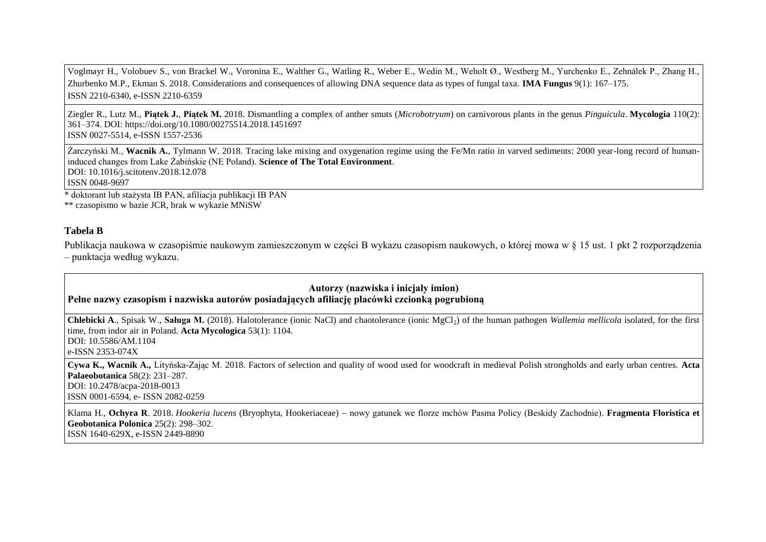Voglmayr H., Volobuev S., von Brackel W., Voronina E., Walther G., Watling R., Weber E., Wedin M., Weholt Ø., Westberg M., Yurchenko E., Zehnálek P., Zhang H., Zhurbenko M.P., Ekman S. 2018. Considerations and consequences of allowing DNA sequence data as types of fungal taxa. **IMA Fungus** 9(1): 167–175. ISSN 2210-6340, e-ISSN 2210-6359

Ziegler R., Lutz M., **Piątek J.**, **Piątek M.** 2018. Dismantling a complex of anther smuts (*Microbotryum*) on carnivorous plants in the genus *Pinguicula*. **Mycologia** 110(2): 361–374. DOI: https://doi.org/10.1080/00275514.2018.1451697 ISSN 0027-5514, e-ISSN 1557-2536

Żarczyński M., **Wacnik A.**, Tylmann W. 2018. Tracing lake mixing and oxygenation regime using the Fe/Mn ratio in varved sediments: 2000 year-long record of humaninduced changes from Lake Żabińskie (NE Poland). **Science of The Total Environment**. DOI: 10.1016/j.scitotenv.2018.12.078 ISSN 0048-9697

\* doktorant lub stażysta IB PAN, afiliacja publikacji IB PAN

\*\* czasopismo w bazie JCR, brak w wykazie MNiSW

# **Tabela B**

Publikacja naukowa w czasopiśmie naukowym zamieszczonym w części B wykazu czasopism naukowych, o której mowa w § 15 ust. 1 pkt 2 rozporządzenia – punktacja według wykazu.

### **Autorzy (nazwiska i inicjały imion) Pełne nazwy czasopism i nazwiska autorów posiadających afiliację placówki czcionką pogrubioną**

**Chlebicki A., Spisak W., Saługa M.** (2018). Halotolerance (ionic NaCl) and chaotolerance (ionic MgCl<sub>2</sub>) of the human pathogen *Wallemia mellicola* isolated, for the first time, from indor air in Poland. **Acta Mycologica** 53(1): 1104. DOI: 10.5586/AM.1104 e-ISSN 2353-074X

**Cywa K., Wacnik A.,** Lityńska-Zając M. 2018. Factors of selection and quality of wood used for woodcraft in medieval Polish strongholds and early urban centres. **Acta Palaeobotanica** 58(2): 231–287. DOI: 10.2478/acpa-2018-0013 ISSN 0001-6594, e- ISSN 2082-0259

Klama H., **Ochyra R**. 2018. *Hookeria lucens* (Bryophyta, Hookeriaceae) nowy gatunek we florze mchów Pasma Policy (Beskidy Zachodnie). **Fragmenta Floristica et Geobotanica Polonica** 25(2): 298–302. ISSN 1640-629X, e-ISSN 2449-8890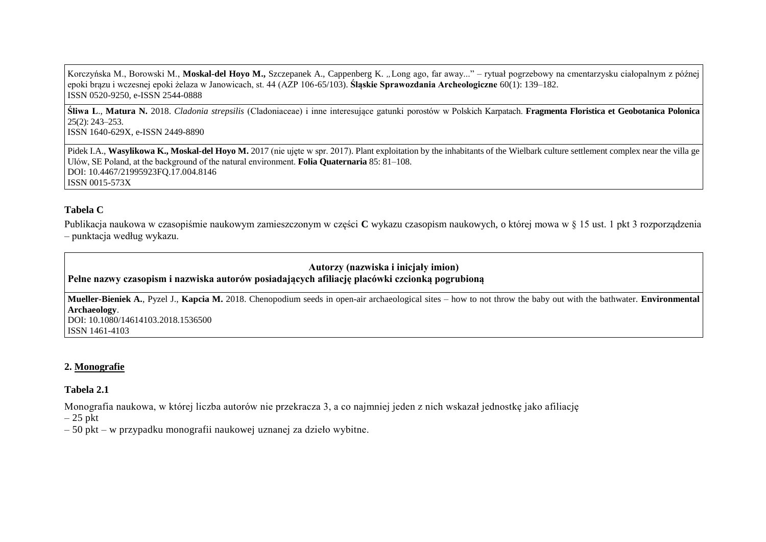Korczyńska M., Borowski M., Moskal-del Hoyo M., Szczepanek A., Cappenberg K. "Long ago, far away..." – rytuał pogrzebowy na cmentarzysku ciałopalnym z późnej epoki brązu i wczesnej epoki żelaza w Janowicach, st. 44 (AZP 106-65/103). **Śląskie Sprawozdania Archeologiczne** 60(1): 139–182. ISSN 0520-9250, e-ISSN 2544-0888

**Śliwa L**., **Matura N.** 2018. *Cladonia strepsilis* ( ladoniaceae) i inne interesujące gatunki porostów w Polskich Karpatach. **Fragmenta Floristica et Geobotanica Polonica** 25(2): 243–253. ISSN 1640-629X, e-ISSN 2449-8890

Pidek I.A., Wasylikowa K., Moskal-del Hoyo M. 2017 (nie ujęte w spr. 2017). Plant exploitation by the inhabitants of the Wielbark culture settlement complex near the villa ge Ulów, SE Poland, at the background of the natural environment. **Folia Quaternaria** 85: 81–108. DOI: 10.4467/21995923FQ.17.004.8146 ISSN 0015-573X

#### **Tabela C**

Publikacja naukowa w czasopiśmie naukowym zamieszczonym w części **C** wykazu czasopism naukowych, o której mowa w § 15 ust. 1 pkt 3 rozporządzenia – punktacja według wykazu.

# **Autorzy (nazwiska i inicjały imion) Pełne nazwy czasopism i nazwiska autorów posiadających afiliację placówki czcionką pogrubioną**

**Mueller-Bieniek A.**, Pyzel J., **Kapcia M.** 2018. Chenopodium seeds in open-air archaeological sites – how to not throw the baby out with the bathwater. **Environmental Archaeology**. DOI: 10.1080/14614103.2018.1536500 ISSN 1461-4103

### **2. Monografie**

#### **Tabela 2.1**

Monografia naukowa, w której liczba autorów nie przekracza 3, a co najmniej jeden z nich wskazał jednostkę jako afiliację

 $-25$  pkt

– 50 pkt – w przypadku monografii naukowej uznanej za dzieło wybitne.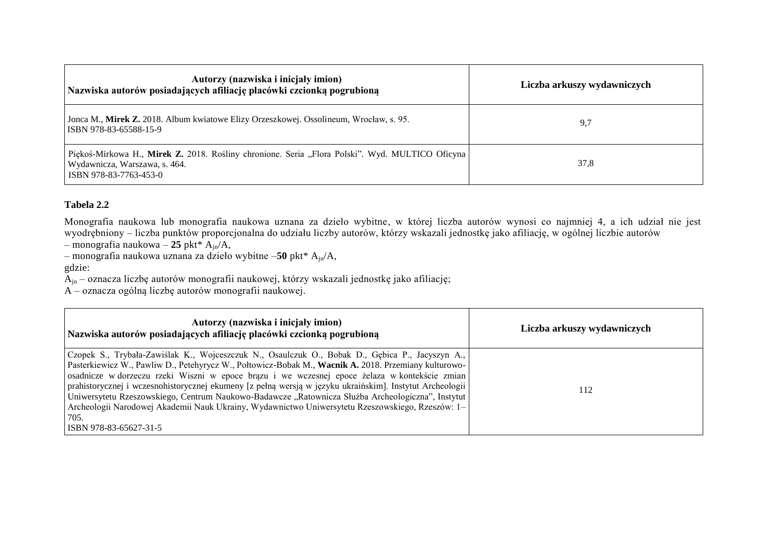| Autorzy (nazwiska i inicjały imion)<br>Nazwiska autorów posiadających afiliację placówki czcionką pogrubioną                                               | Liczba arkuszy wydawniczych |
|------------------------------------------------------------------------------------------------------------------------------------------------------------|-----------------------------|
| Jonca M., Mirek Z. 2018. Album kwiatowe Elizy Orzeszkowej. Ossolineum, Wrocław, s. 95.<br>ISBN 978-83-65588-15-9                                           | 9,7                         |
| Piękoś-Mirkowa H., Mirek Z. 2018. Rośliny chronione. Seria "Flora Polski". Wyd. MULTICO Oficyna<br>Wydawnicza, Warszawa, s. 464.<br>ISBN 978-83-7763-453-0 | 37,8                        |

# **Tabela 2.2**

Monografia naukowa lub monografia naukowa uznana za dzieło wybitne, w której liczba autorów wynosi co najmniej 4, a ich udział nie jest wyodrębniony – liczba punktów proporcjonalna do udziału liczby autorów, którzy wskazali jednostkę jako afiliację, w ogólnej liczbie autorów

– monografia naukowa – **25** pkt\* Ajn/A,

– monografia naukowa uznana za dzieło wybitne –**50** pkt\* Ajn/A,

gdzie:

 $\widetilde{A}_{in}$  – oznacza liczbę autorów monografii naukowej, którzy wskazali jednostkę jako afiliację;

A – oznacza ogólną liczbę autorów monografii naukowej.

| Autorzy (nazwiska i inicjały imion)<br>Nazwiska autorów posiadających afiliację placówki czcionką pogrubioną                                                                                                                                                                                                                                                                                                                                                                                                                                                                                                                                                    | Liczba arkuszy wydawniczych |
|-----------------------------------------------------------------------------------------------------------------------------------------------------------------------------------------------------------------------------------------------------------------------------------------------------------------------------------------------------------------------------------------------------------------------------------------------------------------------------------------------------------------------------------------------------------------------------------------------------------------------------------------------------------------|-----------------------------|
| Czopek S., Trybała-Zawiślak K., Wojceszczuk N., Osaulczuk O., Bobak D., Gębica P., Jacyszyn A.,<br>Pasterkiewicz W., Pawliw D., Petehyrycz W., Połtowicz-Bobak M., Wacnik A. 2018. Przemiany kulturowo-<br>osadnicze w dorzeczu rzeki Wiszni w epoce brązu i we wczesnej epoce żelaza w kontekście zmian<br>prahistorycznej i wczesnohistorycznej ekumeny [z pełną wersją w języku ukraińskim]. Instytut Archeologii<br>Uniwersytetu Rzeszowskiego, Centrum Naukowo-Badawcze "Ratownicza Służba Archeologiczna", Instytut<br>Archeologii Narodowej Akademii Nauk Ukrainy, Wydawnictwo Uniwersytetu Rzeszowskiego, Rzeszów: 1–<br>705.<br>ISBN 978-83-65627-31-5 | 112                         |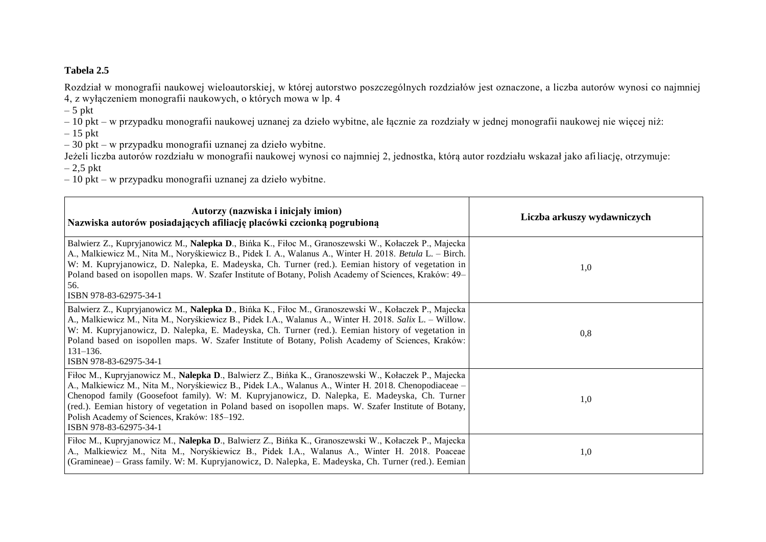# **Tabela 2.5**

Rozdział w monografii naukowej wieloautorskiej, w której autorstwo poszczególnych rozdziałów jest oznaczone, a liczba autorów wynosi co najmniej 4, z wyłączeniem monografii naukowych, o których mowa w lp. 4

 $-5$  pkt

– 10 pkt – w przypadku monografii naukowej uznanej za dzieło wybitne, ale łącznie za rozdziały w jednej monografii naukowej nie więcej niż:

 $-15$  pkt

– 30 pkt – w przypadku monografii uznanej za dzieło wybitne.

Jeżeli liczba autorów rozdziału w monografii naukowej wynosi co najmniej 2, jednostka, którą autor rozdziału wskazał jako afiliację, otrzymuje:

 $-2.5$  pkt

– 10 pkt – w przypadku monografii uznanej za dzieło wybitne.

| Autorzy (nazwiska i inicjały imion)<br>Nazwiska autorów posiadających afiliację placówki czcionką pogrubioną                                                                                                                                                                                                                                                                                                                                                                                      | Liczba arkuszy wydawniczych |
|---------------------------------------------------------------------------------------------------------------------------------------------------------------------------------------------------------------------------------------------------------------------------------------------------------------------------------------------------------------------------------------------------------------------------------------------------------------------------------------------------|-----------------------------|
| Balwierz Z., Kupryjanowicz M., Nalepka D., Bińka K., Fiłoc M., Granoszewski W., Kołaczek P., Majecka<br>A., Malkiewicz M., Nita M., Noryśkiewicz B., Pidek I. A., Walanus A., Winter H. 2018. Betula L. – Birch.<br>W: M. Kupryjanowicz, D. Nalepka, E. Madeyska, Ch. Turner (red.). Eemian history of vegetation in<br>Poland based on isopollen maps. W. Szafer Institute of Botany, Polish Academy of Sciences, Kraków: 49–<br>56.<br>ISBN 978-83-62975-34-1                                   | 1,0                         |
| Balwierz Z., Kupryjanowicz M., Nalepka D., Bińka K., Fiłoc M., Granoszewski W., Kołaczek P., Majecka<br>A., Malkiewicz M., Nita M., Noryśkiewicz B., Pidek I.A., Walanus A., Winter H. 2018. Salix L. – Willow.<br>W: M. Kupryjanowicz, D. Nalepka, E. Madeyska, Ch. Turner (red.). Eemian history of vegetation in<br>Poland based on isopollen maps. W. Szafer Institute of Botany, Polish Academy of Sciences, Kraków:<br>$131 - 136.$<br>ISBN 978-83-62975-34-1                               | 0,8                         |
| Fiłoc M., Kupryjanowicz M., Nalepka D., Balwierz Z., Bińka K., Granoszewski W., Kołaczek P., Majecka<br>A., Malkiewicz M., Nita M., Noryśkiewicz B., Pidek I.A., Walanus A., Winter H. 2018. Chenopodiaceae –<br>Chenopod family (Goosefoot family). W: M. Kupryjanowicz, D. Nalepka, E. Madeyska, Ch. Turner<br>(red.). Eemian history of vegetation in Poland based on isopollen maps. W. Szafer Institute of Botany,<br>Polish Academy of Sciences, Kraków: 185-192.<br>ISBN 978-83-62975-34-1 | 1,0                         |
| Fiłoc M., Kupryjanowicz M., Nalepka D., Balwierz Z., Bińka K., Granoszewski W., Kołaczek P., Majecka<br>A., Malkiewicz M., Nita M., Noryśkiewicz B., Pidek I.A., Walanus A., Winter H. 2018. Poaceae<br>(Gramineae) – Grass family. W: M. Kupryjanowicz, D. Nalepka, E. Madeyska, Ch. Turner (red.). Eemian                                                                                                                                                                                       | 1,0                         |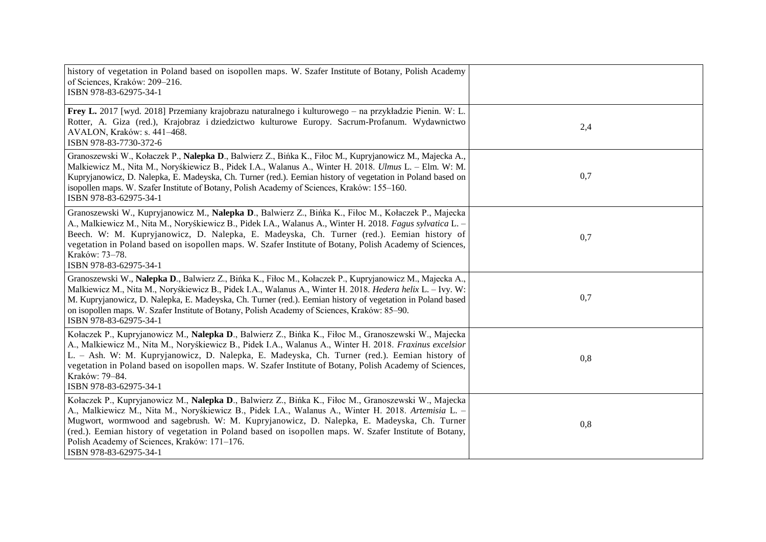| history of vegetation in Poland based on isopollen maps. W. Szafer Institute of Botany, Polish Academy<br>of Sciences, Kraków: 209-216.<br>ISBN 978-83-62975-34-1                                                                                                                                                                                                                                                                                                                            |     |
|----------------------------------------------------------------------------------------------------------------------------------------------------------------------------------------------------------------------------------------------------------------------------------------------------------------------------------------------------------------------------------------------------------------------------------------------------------------------------------------------|-----|
| Frey L. 2017 [wyd. 2018] Przemiany krajobrazu naturalnego i kulturowego – na przykładzie Pienin. W: L.<br>Rotter, A. Giza (red.), Krajobraz i dziedzictwo kulturowe Europy. Sacrum-Profanum. Wydawnictwo<br>AVALON, Kraków: s. 441-468.<br>ISBN 978-83-7730-372-6                                                                                                                                                                                                                            | 2,4 |
| Granoszewski W., Kołaczek P., Nalepka D., Balwierz Z., Bińka K., Fiłoc M., Kupryjanowicz M., Majecka A.,<br>Malkiewicz M., Nita M., Noryśkiewicz B., Pidek I.A., Walanus A., Winter H. 2018. Ulmus L. - Elm. W: M.<br>Kupryjanowicz, D. Nalepka, E. Madeyska, Ch. Turner (red.). Eemian history of vegetation in Poland based on<br>isopollen maps. W. Szafer Institute of Botany, Polish Academy of Sciences, Kraków: 155–160.<br>ISBN 978-83-62975-34-1                                    | 0,7 |
| Granoszewski W., Kupryjanowicz M., Nalepka D., Balwierz Z., Bińka K., Fiłoc M., Kołaczek P., Majecka<br>A., Malkiewicz M., Nita M., Noryśkiewicz B., Pidek I.A., Walanus A., Winter H. 2018. Fagus sylvatica L. -<br>Beech. W: M. Kupryjanowicz, D. Nalepka, E. Madeyska, Ch. Turner (red.). Eemian history of<br>vegetation in Poland based on isopollen maps. W. Szafer Institute of Botany, Polish Academy of Sciences,<br>Kraków: 73-78.<br>ISBN 978-83-62975-34-1                       | 0,7 |
| Granoszewski W., Nalepka D., Balwierz Z., Bińka K., Fiłoc M., Kołaczek P., Kupryjanowicz M., Majecka A.,<br>Malkiewicz M., Nita M., Noryśkiewicz B., Pidek I.A., Walanus A., Winter H. 2018. Hedera helix L. - Ivy. W:<br>M. Kupryjanowicz, D. Nalepka, E. Madeyska, Ch. Turner (red.). Eemian history of vegetation in Poland based<br>on isopollen maps. W. Szafer Institute of Botany, Polish Academy of Sciences, Kraków: 85–90.<br>ISBN 978-83-62975-34-1                               | 0,7 |
| Kołaczek P., Kupryjanowicz M., Nalepka D., Balwierz Z., Bińka K., Fiłoc M., Granoszewski W., Majecka<br>A., Malkiewicz M., Nita M., Noryśkiewicz B., Pidek I.A., Walanus A., Winter H. 2018. Fraxinus excelsior<br>L. - Ash. W: M. Kupryjanowicz, D. Nalepka, E. Madeyska, Ch. Turner (red.). Eemian history of<br>vegetation in Poland based on isopollen maps. W. Szafer Institute of Botany, Polish Academy of Sciences,<br>Kraków: 79-84.<br>ISBN 978-83-62975-34-1                      | 0,8 |
| Kołaczek P., Kupryjanowicz M., Nalepka D., Balwierz Z., Bińka K., Fiłoc M., Granoszewski W., Majecka<br>A., Malkiewicz M., Nita M., Noryśkiewicz B., Pidek I.A., Walanus A., Winter H. 2018. Artemisia L. -<br>Mugwort, wormwood and sagebrush. W: M. Kupryjanowicz, D. Nalepka, E. Madeyska, Ch. Turner<br>(red.). Eemian history of vegetation in Poland based on isopollen maps. W. Szafer Institute of Botany,<br>Polish Academy of Sciences, Kraków: 171-176.<br>ISBN 978-83-62975-34-1 | 0,8 |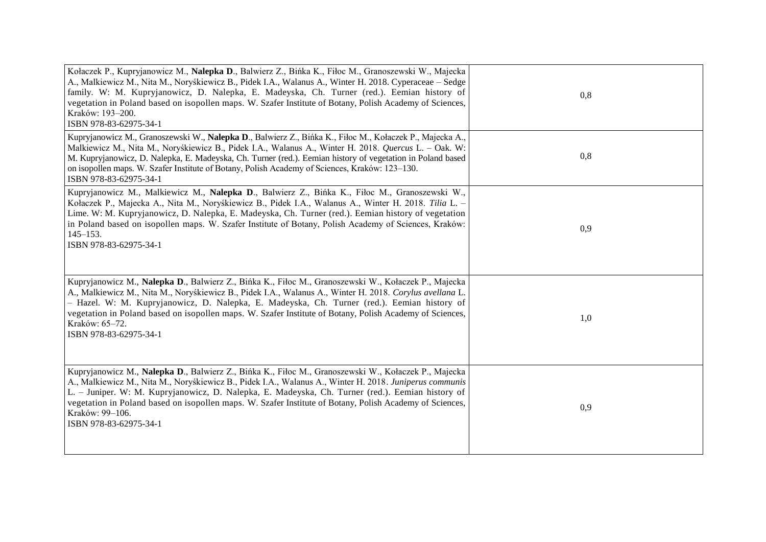| Kołaczek P., Kupryjanowicz M., Nalepka D., Balwierz Z., Bińka K., Fiłoc M., Granoszewski W., Majecka<br>A., Malkiewicz M., Nita M., Noryśkiewicz B., Pidek I.A., Walanus A., Winter H. 2018. Cyperaceae – Sedge<br>family. W: M. Kupryjanowicz, D. Nalepka, E. Madeyska, Ch. Turner (red.). Eemian history of<br>vegetation in Poland based on isopollen maps. W. Szafer Institute of Botany, Polish Academy of Sciences,<br>Kraków: 193-200.<br>ISBN 978-83-62975-34-1      | 0,8 |
|------------------------------------------------------------------------------------------------------------------------------------------------------------------------------------------------------------------------------------------------------------------------------------------------------------------------------------------------------------------------------------------------------------------------------------------------------------------------------|-----|
| Kupryjanowicz M., Granoszewski W., Nalepka D., Balwierz Z., Bińka K., Fiłoc M., Kołaczek P., Majecka A.,<br>Malkiewicz M., Nita M., Noryśkiewicz B., Pidek I.A., Walanus A., Winter H. 2018. Quercus L. – Oak. W:<br>M. Kupryjanowicz, D. Nalepka, E. Madeyska, Ch. Turner (red.). Eemian history of vegetation in Poland based<br>on isopollen maps. W. Szafer Institute of Botany, Polish Academy of Sciences, Kraków: 123–130.<br>ISBN 978-83-62975-34-1                  | 0,8 |
| Kupryjanowicz M., Malkiewicz M., Nalepka D., Balwierz Z., Bińka K., Fiłoc M., Granoszewski W.,<br>Kołaczek P., Majecka A., Nita M., Noryśkiewicz B., Pidek I.A., Walanus A., Winter H. 2018. Tilia L. -<br>Lime. W: M. Kupryjanowicz, D. Nalepka, E. Madeyska, Ch. Turner (red.). Eemian history of vegetation<br>in Poland based on isopollen maps. W. Szafer Institute of Botany, Polish Academy of Sciences, Kraków:<br>$145 - 153$ .<br>ISBN 978-83-62975-34-1           | 0,9 |
| Kupryjanowicz M., Nalepka D., Balwierz Z., Bińka K., Fiłoc M., Granoszewski W., Kołaczek P., Majecka<br>A., Malkiewicz M., Nita M., Noryśkiewicz B., Pidek I.A., Walanus A., Winter H. 2018. Corylus avellana L.<br>- Hazel. W: M. Kupryjanowicz, D. Nalepka, E. Madeyska, Ch. Turner (red.). Eemian history of<br>vegetation in Poland based on isopollen maps. W. Szafer Institute of Botany, Polish Academy of Sciences,<br>Kraków: 65-72.<br>ISBN 978-83-62975-34-1      | 1,0 |
| Kupryjanowicz M., Nalepka D., Balwierz Z., Bińka K., Fiłoc M., Granoszewski W., Kołaczek P., Majecka<br>A., Malkiewicz M., Nita M., Noryśkiewicz B., Pidek I.A., Walanus A., Winter H. 2018. Juniperus communis<br>L. – Juniper. W: M. Kupryjanowicz, D. Nalepka, E. Madeyska, Ch. Turner (red.). Eemian history of<br>vegetation in Poland based on isopollen maps. W. Szafer Institute of Botany, Polish Academy of Sciences,<br>Kraków: 99-106.<br>ISBN 978-83-62975-34-1 | 0,9 |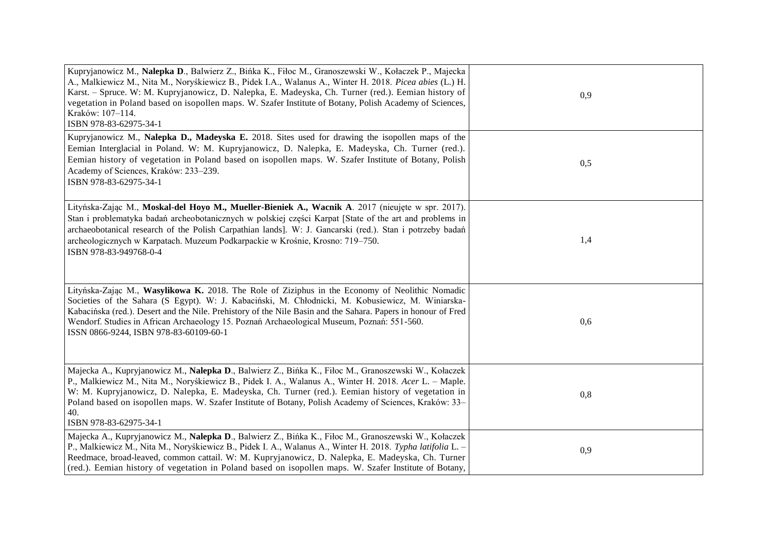| Kupryjanowicz M., Nalepka D., Balwierz Z., Bińka K., Fiłoc M., Granoszewski W., Kołaczek P., Majecka<br>A., Malkiewicz M., Nita M., Noryśkiewicz B., Pidek I.A., Walanus A., Winter H. 2018. Picea abies (L.) H.<br>Karst. - Spruce. W: M. Kupryjanowicz, D. Nalepka, E. Madeyska, Ch. Turner (red.). Eemian history of<br>vegetation in Poland based on isopollen maps. W. Szafer Institute of Botany, Polish Academy of Sciences,<br>Kraków: 107-114.<br>ISBN 978-83-62975-34-1 | 0,9 |
|-----------------------------------------------------------------------------------------------------------------------------------------------------------------------------------------------------------------------------------------------------------------------------------------------------------------------------------------------------------------------------------------------------------------------------------------------------------------------------------|-----|
| Kupryjanowicz M., Nalepka D., Madeyska E. 2018. Sites used for drawing the isopollen maps of the<br>Eemian Interglacial in Poland. W: M. Kupryjanowicz, D. Nalepka, E. Madeyska, Ch. Turner (red.).<br>Eemian history of vegetation in Poland based on isopollen maps. W. Szafer Institute of Botany, Polish<br>Academy of Sciences, Kraków: 233-239.<br>ISBN 978-83-62975-34-1                                                                                                   | 0,5 |
| Lityńska-Zając M., Moskal-del Hoyo M., Mueller-Bieniek A., Wacnik A. 2017 (nieujęte w spr. 2017).<br>Stan i problematyka badań archeobotanicznych w polskiej części Karpat [State of the art and problems in<br>archaeobotanical research of the Polish Carpathian lands]. W: J. Gancarski (red.). Stan i potrzeby badań<br>archeologicznych w Karpatach. Muzeum Podkarpackie w Krośnie, Krosno: 719-750.<br>ISBN 978-83-949768-0-4                                               | 1,4 |
| Lityńska-Zając M., Wasylikowa K. 2018. The Role of Ziziphus in the Economy of Neolithic Nomadic<br>Societies of the Sahara (S Egypt). W: J. Kabaciński, M. Chłodnicki, M. Kobusiewicz, M. Winiarska-<br>Kabacińska (red.). Desert and the Nile. Prehistory of the Nile Basin and the Sahara. Papers in honour of Fred<br>Wendorf. Studies in African Archaeology 15. Poznań Archaeological Museum, Poznań: 551-560.<br>ISSN 0866-9244, ISBN 978-83-60109-60-1                     | 0,6 |
| Majecka A., Kupryjanowicz M., Nalepka D., Balwierz Z., Bińka K., Fiłoc M., Granoszewski W., Kołaczek<br>P., Malkiewicz M., Nita M., Noryśkiewicz B., Pidek I. A., Walanus A., Winter H. 2018. Acer L. - Maple.<br>W: M. Kupryjanowicz, D. Nalepka, E. Madeyska, Ch. Turner (red.). Eemian history of vegetation in<br>Poland based on isopollen maps. W. Szafer Institute of Botany, Polish Academy of Sciences, Kraków: 33–<br>40.<br>ISBN 978-83-62975-34-1                     | 0,8 |
| Majecka A., Kupryjanowicz M., Nalepka D., Balwierz Z., Bińka K., Fiłoc M., Granoszewski W., Kołaczek<br>P., Malkiewicz M., Nita M., Noryśkiewicz B., Pidek I. A., Walanus A., Winter H. 2018. Typha latifolia L. -<br>Reedmace, broad-leaved, common cattail. W: M. Kupryjanowicz, D. Nalepka, E. Madeyska, Ch. Turner<br>(red.). Eemian history of vegetation in Poland based on isopollen maps. W. Szafer Institute of Botany,                                                  | 0,9 |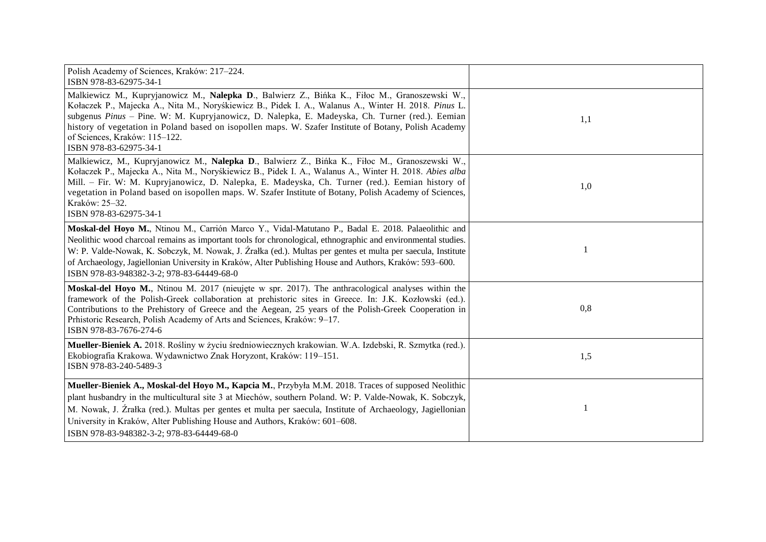| Polish Academy of Sciences, Kraków: 217-224.<br>ISBN 978-83-62975-34-1                                                                                                                                                                                                                                                                                                                                                                                                                      |     |
|---------------------------------------------------------------------------------------------------------------------------------------------------------------------------------------------------------------------------------------------------------------------------------------------------------------------------------------------------------------------------------------------------------------------------------------------------------------------------------------------|-----|
| Malkiewicz M., Kupryjanowicz M., Nalepka D., Balwierz Z., Bińka K., Fiłoc M., Granoszewski W.,<br>Kołaczek P., Majecka A., Nita M., Noryśkiewicz B., Pidek I. A., Walanus A., Winter H. 2018. Pinus L.<br>subgenus Pinus - Pine. W: M. Kupryjanowicz, D. Nalepka, E. Madeyska, Ch. Turner (red.). Eemian<br>history of vegetation in Poland based on isopollen maps. W. Szafer Institute of Botany, Polish Academy<br>of Sciences, Kraków: 115-122.<br>ISBN 978-83-62975-34-1               | 1,1 |
| Malkiewicz, M., Kupryjanowicz M., Nalepka D., Balwierz Z., Bińka K., Fiłoc M., Granoszewski W.,<br>Kołaczek P., Majecka A., Nita M., Noryśkiewicz B., Pidek I. A., Walanus A., Winter H. 2018. Abies alba<br>Mill. - Fir. W: M. Kupryjanowicz, D. Nalepka, E. Madeyska, Ch. Turner (red.). Eemian history of<br>vegetation in Poland based on isopollen maps. W. Szafer Institute of Botany, Polish Academy of Sciences,<br>Kraków: 25–32.<br>ISBN 978-83-62975-34-1                        | 1,0 |
| Moskal-del Hoyo M., Ntinou M., Carrión Marco Y., Vidal-Matutano P., Badal E. 2018. Palaeolithic and<br>Neolithic wood charcoal remains as important tools for chronological, ethnographic and environmental studies.<br>W: P. Valde-Nowak, K. Sobczyk, M. Nowak, J. Źrałka (ed.). Multas per gentes et multa per saecula, Institute<br>of Archaeology, Jagiellonian University in Kraków, Alter Publishing House and Authors, Kraków: 593–600.<br>ISBN 978-83-948382-3-2; 978-83-64449-68-0 |     |
| Moskal-del Hoyo M., Ntinou M. 2017 (nieujęte w spr. 2017). The anthracological analyses within the<br>framework of the Polish-Greek collaboration at prehistoric sites in Greece. In: J.K. Kozłowski (ed.).<br>Contributions to the Prehistory of Greece and the Aegean, 25 years of the Polish-Greek Cooperation in<br>Prhistoric Research, Polish Academy of Arts and Sciences, Kraków: 9-17.<br>ISBN 978-83-7676-274-6                                                                   | 0,8 |
| Mueller-Bieniek A. 2018. Rośliny w życiu średniowiecznych krakowian. W.A. Izdebski, R. Szmytka (red.).<br>Ekobiografia Krakowa. Wydawnictwo Znak Horyzont, Kraków: 119–151.<br>ISBN 978-83-240-5489-3                                                                                                                                                                                                                                                                                       | 1,5 |
| Mueller-Bieniek A., Moskal-del Hoyo M., Kapcia M., Przybyła M.M. 2018. Traces of supposed Neolithic<br>plant husbandry in the multicultural site 3 at Miechów, southern Poland. W: P. Valde-Nowak, K. Sobczyk,<br>M. Nowak, J. Źrałka (red.). Multas per gentes et multa per saecula, Institute of Archaeology, Jagiellonian<br>University in Kraków, Alter Publishing House and Authors, Kraków: 601–608.<br>ISBN 978-83-948382-3-2; 978-83-64449-68-0                                     |     |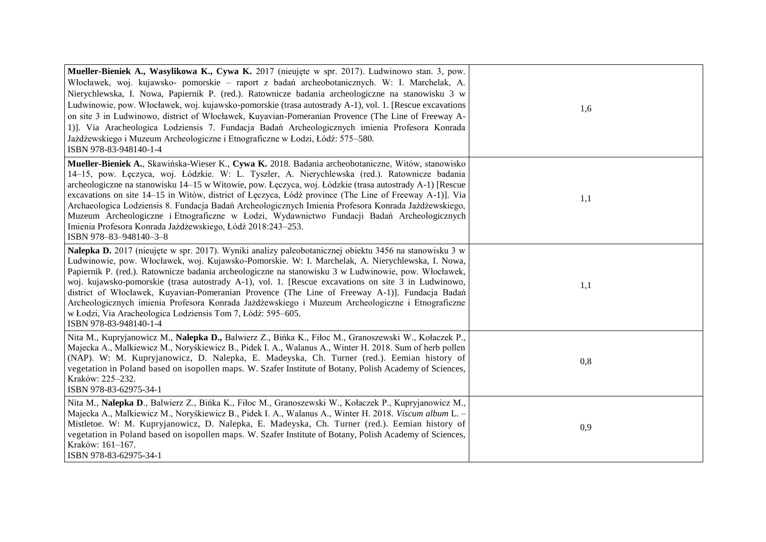| Mueller-Bieniek A., Wasylikowa K., Cywa K. 2017 (nieujęte w spr. 2017). Ludwinowo stan. 3, pow.<br>Włocławek, woj. kujawsko- pomorskie – raport z badań archeobotanicznych. W: I. Marchelak, A.<br>Nierychlewska, I. Nowa, Papiernik P. (red.). Ratownicze badania archeologiczne na stanowisku 3 w<br>Ludwinowie, pow. Włocławek, woj. kujawsko-pomorskie (trasa autostrady A-1), vol. 1. [Rescue excavations<br>on site 3 in Ludwinowo, district of Włocławek, Kuyavian-Pomeranian Provence (The Line of Freeway A-<br>1)]. Via Aracheologica Lodziensis 7. Fundacja Badań Archeologicznych imienia Profesora Konrada<br>Jażdżewskiego i Muzeum Archeologiczne i Etnograficzne w Łodzi, Łódź: 575–580.<br>ISBN 978-83-948140-1-4 | 1,6 |
|------------------------------------------------------------------------------------------------------------------------------------------------------------------------------------------------------------------------------------------------------------------------------------------------------------------------------------------------------------------------------------------------------------------------------------------------------------------------------------------------------------------------------------------------------------------------------------------------------------------------------------------------------------------------------------------------------------------------------------|-----|
| Mueller-Bieniek A., Skawińska-Wieser K., Cywa K. 2018. Badania archeobotaniczne, Witów, stanowisko<br>14-15, pow. Łęczyca, woj. Łódzkie. W: L. Tyszler, A. Nierychlewska (red.). Ratownicze badania<br>archeologiczne na stanowisku 14–15 w Witowie, pow. Łęczyca, woj. Łódzkie (trasa autostrady A-1) [Rescue<br>excavations on site 14–15 in Witów, district of Łęczyca, Łódź province (The Line of Freeway A-1)]. Via<br>Archaeologica Lodziensis 8. Fundacja Badań Archeologicznych Imienia Profesora Konrada Jażdżewskiego,<br>Muzeum Archeologiczne i Etnograficzne w Łodzi, Wydawnictwo Fundacji Badań Archeologicznych<br>Imienia Profesora Konrada Jażdżewskiego, Łódź 2018:243-253.<br>ISBN 978-83-948140-3-8            | 1,1 |
| Nalepka D. 2017 (nieujęte w spr. 2017). Wyniki analizy paleobotanicznej obiektu 3456 na stanowisku 3 w<br>Ludwinowie, pow. Włocławek, woj. Kujawsko-Pomorskie. W: I. Marchelak, A. Nierychlewska, I. Nowa,<br>Papiernik P. (red.). Ratownicze badania archeologiczne na stanowisku 3 w Ludwinowie, pow. Włocławek,<br>woj. kujawsko-pomorskie (trasa autostrady A-1), vol. 1. [Rescue excavations on site 3 in Ludwinowo,<br>district of Włocławek, Kuyavian-Pomeranian Provence (The Line of Freeway A-1)]. Fundacja Badań<br>Archeologicznych imienia Profesora Konrada Jażdżewskiego i Muzeum Archeologiczne i Etnograficzne<br>w Łodzi, Via Aracheologica Lodziensis Tom 7, Łódź: 595–605.<br>ISBN 978-83-948140-1-4           | 1,1 |
| Nita M., Kupryjanowicz M., Nalepka D., Balwierz Z., Bińka K., Fiłoc M., Granoszewski W., Kołaczek P.,<br>Majecka A., Malkiewicz M., Noryśkiewicz B., Pidek I. A., Walanus A., Winter H. 2018. Sum of herb pollen<br>(NAP). W: M. Kupryjanowicz, D. Nalepka, E. Madeyska, Ch. Turner (red.). Eemian history of<br>vegetation in Poland based on isopollen maps. W. Szafer Institute of Botany, Polish Academy of Sciences,<br>Kraków: 225-232.<br>ISBN 978-83-62975-34-1                                                                                                                                                                                                                                                            | 0,8 |
| Nita M., Nalepka D., Balwierz Z., Bińka K., Fiłoc M., Granoszewski W., Kołaczek P., Kupryjanowicz M.,<br>Majecka A., Malkiewicz M., Noryśkiewicz B., Pidek I. A., Walanus A., Winter H. 2018. Viscum album L. -<br>Mistletoe. W: M. Kupryjanowicz, D. Nalepka, E. Madeyska, Ch. Turner (red.). Eemian history of<br>vegetation in Poland based on isopollen maps. W. Szafer Institute of Botany, Polish Academy of Sciences,<br>Kraków: 161-167.<br>ISBN 978-83-62975-34-1                                                                                                                                                                                                                                                         | 0,9 |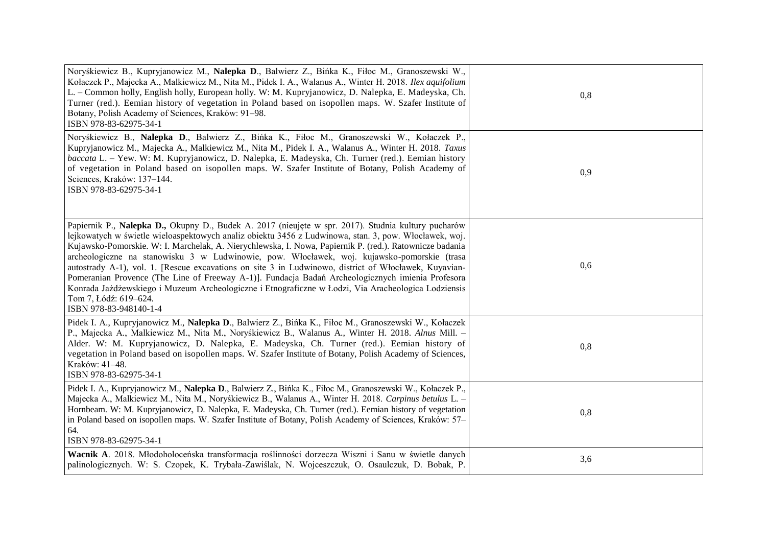| Noryśkiewicz B., Kupryjanowicz M., Nalepka D., Balwierz Z., Bińka K., Fiłoc M., Granoszewski W.,<br>Kołaczek P., Majecka A., Malkiewicz M., Nita M., Pidek I. A., Walanus A., Winter H. 2018. Ilex aquifolium<br>L. - Common holly, English holly, European holly. W: M. Kupryjanowicz, D. Nalepka, E. Madeyska, Ch.<br>Turner (red.). Eemian history of vegetation in Poland based on isopollen maps. W. Szafer Institute of<br>Botany, Polish Academy of Sciences, Kraków: 91-98.<br>ISBN 978-83-62975-34-1                                                                                                                                                                                                                                                                                  | 0,8 |
|------------------------------------------------------------------------------------------------------------------------------------------------------------------------------------------------------------------------------------------------------------------------------------------------------------------------------------------------------------------------------------------------------------------------------------------------------------------------------------------------------------------------------------------------------------------------------------------------------------------------------------------------------------------------------------------------------------------------------------------------------------------------------------------------|-----|
| Noryśkiewicz B., Nalepka D., Balwierz Z., Bińka K., Fiłoc M., Granoszewski W., Kołaczek P.,<br>Kupryjanowicz M., Majecka A., Malkiewicz M., Nita M., Pidek I. A., Walanus A., Winter H. 2018. Taxus<br>baccata L. - Yew. W: M. Kupryjanowicz, D. Nalepka, E. Madeyska, Ch. Turner (red.). Eemian history<br>of vegetation in Poland based on isopollen maps. W. Szafer Institute of Botany, Polish Academy of<br>Sciences, Kraków: 137-144.<br>ISBN 978-83-62975-34-1                                                                                                                                                                                                                                                                                                                          | 0,9 |
| Papiernik P., Nalepka D., Okupny D., Budek A. 2017 (nieujęte w spr. 2017). Studnia kultury pucharów<br>lejkowatych w świetle wieloaspektowych analiz obiektu 3456 z Ludwinowa, stan. 3, pow. Włocławek, woj.<br>Kujawsko-Pomorskie. W: I. Marchelak, A. Nierychlewska, I. Nowa, Papiernik P. (red.). Ratownicze badania<br>archeologiczne na stanowisku 3 w Ludwinowie, pow. Włocławek, woj. kujawsko-pomorskie (trasa<br>autostrady A-1), vol. 1. [Rescue excavations on site 3 in Ludwinowo, district of Włocławek, Kuyavian-<br>Pomeranian Provence (The Line of Freeway A-1)]. Fundacja Badań Archeologicznych imienia Profesora<br>Konrada Jażdżewskiego i Muzeum Archeologiczne i Etnograficzne w Łodzi, Via Aracheologica Lodziensis<br>Tom 7, Łódź: 619–624.<br>ISBN 978-83-948140-1-4 | 0,6 |
| Pidek I. A., Kupryjanowicz M., Nalepka D., Balwierz Z., Bińka K., Fiłoc M., Granoszewski W., Kołaczek<br>P., Majecka A., Malkiewicz M., Nita M., Noryśkiewicz B., Walanus A., Winter H. 2018. Alnus Mill. -<br>Alder. W: M. Kupryjanowicz, D. Nalepka, E. Madeyska, Ch. Turner (red.). Eemian history of<br>vegetation in Poland based on isopollen maps. W. Szafer Institute of Botany, Polish Academy of Sciences,<br>Kraków: 41-48.<br>ISBN 978-83-62975-34-1                                                                                                                                                                                                                                                                                                                               | 0,8 |
| Pidek I. A., Kupryjanowicz M., Nalepka D., Balwierz Z., Bińka K., Fiłoc M., Granoszewski W., Kołaczek P.,<br>Majecka A., Malkiewicz M., Nita M., Noryśkiewicz B., Walanus A., Winter H. 2018. Carpinus betulus L. -<br>Hornbeam. W: M. Kupryjanowicz, D. Nalepka, E. Madeyska, Ch. Turner (red.). Eemian history of vegetation<br>in Poland based on isopollen maps. W. Szafer Institute of Botany, Polish Academy of Sciences, Kraków: 57–<br>64.<br>ISBN 978-83-62975-34-1                                                                                                                                                                                                                                                                                                                   | 0,8 |
| Wacnik A. 2018. Młodoholoceńska transformacja roślinności dorzecza Wiszni i Sanu w świetle danych<br>palinologicznych. W: S. Czopek, K. Trybała-Zawiślak, N. Wojceszczuk, O. Osaulczuk, D. Bobak, P.                                                                                                                                                                                                                                                                                                                                                                                                                                                                                                                                                                                           | 3,6 |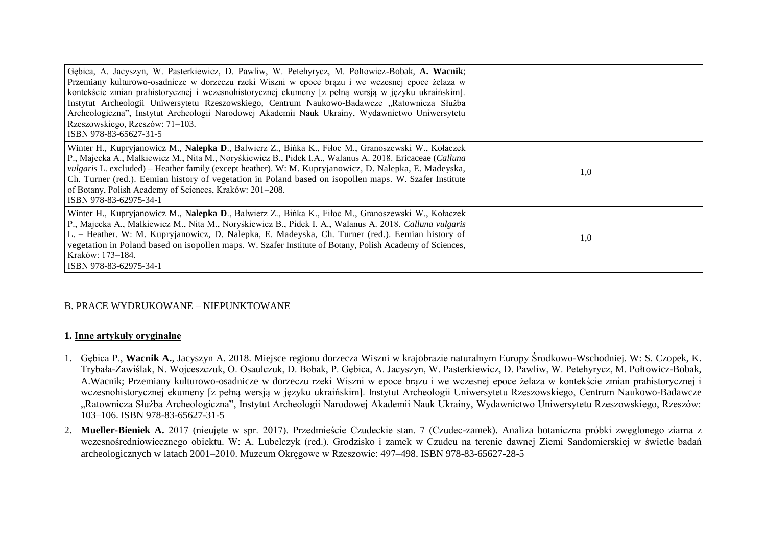| Gębica, A. Jacyszyn, W. Pasterkiewicz, D. Pawliw, W. Petehyrycz, M. Połtowicz-Bobak, A. Wacnik;<br>Przemiany kulturowo-osadnicze w dorzeczu rzeki Wiszni w epoce brązu i we wczesnej epoce żelaza w<br>kontekście zmian prahistorycznej i wczesnohistorycznej ekumeny [z pełną wersją w języku ukraińskim].<br>Instytut Archeologii Uniwersytetu Rzeszowskiego, Centrum Naukowo-Badawcze "Ratownicza Służba<br>Archeologiczna", Instytut Archeologii Narodowej Akademii Nauk Ukrainy, Wydawnictwo Uniwersytetu<br>Rzeszowskiego, Rzeszów: 71–103.<br>ISBN 978-83-65627-31-5 |     |
|-----------------------------------------------------------------------------------------------------------------------------------------------------------------------------------------------------------------------------------------------------------------------------------------------------------------------------------------------------------------------------------------------------------------------------------------------------------------------------------------------------------------------------------------------------------------------------|-----|
| Winter H., Kupryjanowicz M., Nalepka D., Balwierz Z., Bińka K., Fiłoc M., Granoszewski W., Kołaczek<br>P., Majecka A., Malkiewicz M., Nita M., Noryśkiewicz B., Pidek I.A., Walanus A. 2018. Ericaceae (Calluna<br><i>vulgaris</i> L. excluded) – Heather family (except heather). W: M. Kupryjanowicz, D. Nalepka, E. Madeyska,<br>Ch. Turner (red.). Eemian history of vegetation in Poland based on isopollen maps. W. Szafer Institute<br>of Botany, Polish Academy of Sciences, Kraków: 201-208.<br>ISBN 978-83-62975-34-1                                             | 1,0 |
| Winter H., Kupryjanowicz M., Nalepka D., Balwierz Z., Bińka K., Fiłoc M., Granoszewski W., Kołaczek<br>P., Majecka A., Malkiewicz M., Nita M., Noryśkiewicz B., Pidek I. A., Walanus A. 2018. Calluna vulgaris<br>L. - Heather. W: M. Kupryjanowicz, D. Nalepka, E. Madeyska, Ch. Turner (red.). Eemian history of<br>vegetation in Poland based on isopollen maps. W. Szafer Institute of Botany, Polish Academy of Sciences,<br>Kraków: 173–184.<br>ISBN 978-83-62975-34-1                                                                                                | 1,0 |

# B. PRACE WYDRUKOWANE – NIEPUNKTOWANE

### **1. Inne artykuły oryginalne**

- 1. Gębica P., **Wacnik A.**, Jacyszyn A. 2018. Miejsce regionu dorzecza Wiszni w krajobrazie naturalnym Europy Środkowo-Wschodniej. W: S. Czopek, K. Trybała-Zawiślak, N. Wojceszczuk, O. Osaulczuk, D. Bobak, P. Gębica, A. Jacyszyn, W. Pasterkiewicz, D. Pawliw, W. Petehyrycz, M. Połtowicz-Bobak, A.Wacnik; Przemiany kulturowo-osadnicze w dorzeczu rzeki Wiszni w epoce brązu i we wczesnej epoce żelaza w kontekście zmian prahistorycznej i wczesnohistorycznej ekumeny [z pełną wersją w języku ukraińskim]. Instytut Archeologii Uniwersytetu Rzeszowskiego, Centrum Naukowo-Badawcze "Ratownicza Służba Archeologiczna", Instytut Archeologii Narodowej Akademii Nauk Ukrainy, Wydawnictwo Uniwersytetu Rzeszowskiego, Rzeszów: 103–106. ISBN 978-83-65627-31-5
- 2. Mueller-Bieniek A. 2017 (nieujęte w spr. 2017). Przedmieście Czudeckie stan. 7 (Czudec-zamek). Analiza botaniczna próbki zwęglonego ziarna z wczesnośredniowiecznego obiektu. W: A. Lubelczyk (red.). Grodzisko i zamek w Czudcu na terenie dawnej Ziemi Sandomierskiej w świetle badań archeologicznych w latach 2001–2010. Muzeum Okręgowe w Rzeszowie: 497–498. ISBN 978-83-65627-28-5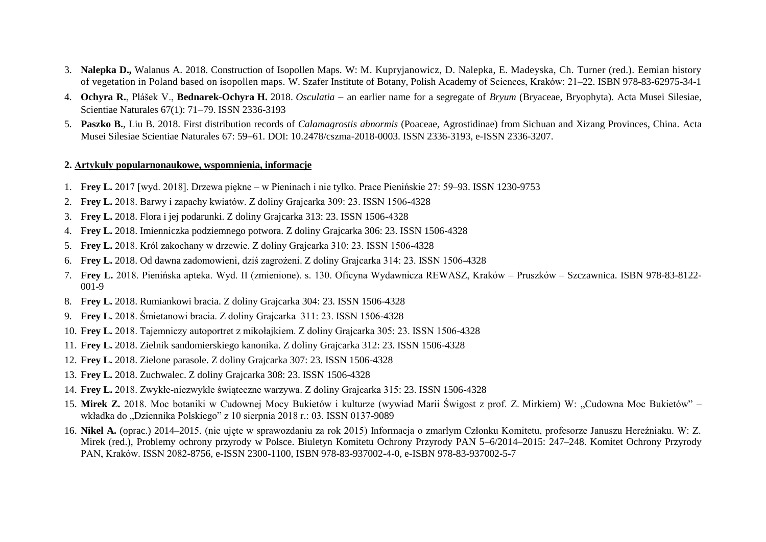- 3. **Nalepka D.,** Walanus A. 2018. Construction of Isopollen Maps. W: M. Kupryjanowicz, D. Nalepka, E. Madeyska, Ch. Turner (red.). Eemian history of vegetation in Poland based on isopollen maps. W. Szafer Institute of Botany, Polish Academy of Sciences, Kraków: 21–22. ISBN 978-83-62975-34-1
- 4. **Ochyra R.**, Plášek V., **Bednarek-Ochyra H.** 2018. *Osculatia*  an earlier name for a segregate of *Bryum* (Bryaceae, Bryophyta). Acta Musei Silesiae, Scientiae Naturales 67(1): 71-79. ISSN 2336-3193
- 5. **Paszko B.**, Liu B. 2018. First distribution records of *Calamagrostis abnormis* (Poaceae, Agrostidinae) from Sichuan and Xizang Provinces, China. Acta Musei Silesiae Scientiae Naturales 67: 5961*.* DOI: 10.2478/cszma-2018-0003. ISSN 2336-3193, e-ISSN 2336-3207.

#### **2. Artykuły popularnonaukowe, wspomnienia, informacje**

- 1. **Frey L.** 2017 [wyd. 2018]. Drzewa piękne w Pieninach i nie tylko. Prace Pienińskie 27: 59–93. ISSN 1230-9753
- 2. **Frey L.** 2018. Barwy i zapachy kwiatów. Z doliny Grajcarka 309: 23. ISSN 1506-4328
- 3. **Frey L.** 2018. Flora i jej podarunki. Z doliny Grajcarka 313: 23. ISSN 1506-4328
- 4. **Frey L.** 2018. Imienniczka podziemnego potwora. Z doliny Grajcarka 306: 23. ISSN 1506-4328
- 5. **Frey L.** 2018. Król zakochany w drzewie. Z doliny Grajcarka 310: 23. ISSN 1506-4328
- 6. **Frey L.** 2018. Od dawna zadomowieni, dziś zagrożeni. Z doliny Grajcarka 314: 23. ISSN 1506-4328
- 7. **Frey L.** 2018. Pienińska apteka. Wyd. II (zmienione). s. 130. Oficyna Wydawnicza REWASZ, Kraków Pruszków Szczawnica. ISBN 978-83-8122- 001-9
- 8. **Frey L.** 2018. Rumiankowi bracia. Z doliny Grajcarka 304: 23. ISSN 1506-4328
- 9. **Frey L.** 2018. Śmietanowi bracia. Z doliny Grajcarka 311: 23. ISSN 1506-4328
- 10. **Frey L.** 2018. Tajemniczy autoportret z mikołajkiem. Z doliny Grajcarka 305: 23. ISSN 1506-4328
- 11. **Frey L.** 2018. Zielnik sandomierskiego kanonika. Z doliny Grajcarka 312: 23. ISSN 1506-4328
- 12. **Frey L.** 2018. Zielone parasole. Z doliny Grajcarka 307: 23. ISSN 1506-4328
- 13. **Frey L.** 2018. Zuchwalec. Z doliny Grajcarka 308: 23. ISSN 1506-4328
- 14. **Frey L.** 2018. Zwykłe-niezwykłe świąteczne warzywa. Z doliny Grajcarka 315: 23. ISSN 1506-4328
- 15. Mirek Z. 2018. Moc botaniki w Cudownej Mocy Bukietów i kulturze (wywiad Marii Świgost z prof. Z. Mirkiem) W: "Cudowna Moc Bukietów" wkładka do "Dziennika Polskiego" z 10 sierpnia 2018 r.: 03. ISSN 0137-9089
- 16. Nikel A. (oprac.) 2014–2015. (nie ujęte w sprawozdaniu za rok 2015) Informacja o zmarłym Członku Komitetu, profesorze Januszu Hereźniaku. W: Z. Mirek (red.), Problemy ochrony przyrody w Polsce. Biuletyn Komitetu Ochrony Przyrody PAN 5–6/2014–2015: 247–248. Komitet Ochrony Przyrody PAN, Kraków. ISSN 2082-8756, e-ISSN 2300-1100, ISBN 978-83-937002-4-0, e-ISBN 978-83-937002-5-7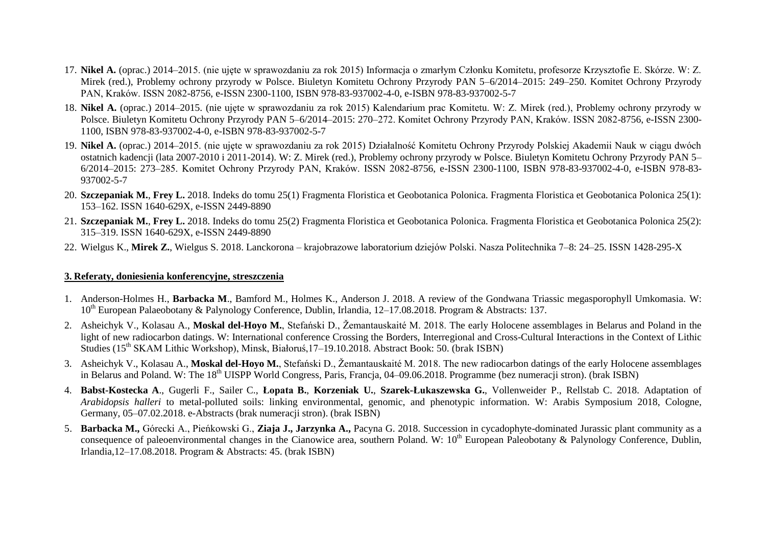- 17. **Nikel A.** (oprac.) 2014–2015. (nie ujęte w sprawozdaniu za rok 2015) Informacja o zmarłym złonku Komitetu, profesorze Krzysztofie E. Skórze. W: Z. Mirek (red.), Problemy ochrony przyrody w Polsce. Biuletyn Komitetu Ochrony Przyrody PAN 5–6/2014–2015: 249–250. Komitet Ochrony Przyrody PAN, Kraków. ISSN 2082-8756, e-ISSN 2300-1100, ISBN 978-83-937002-4-0, e-ISBN 978-83-937002-5-7
- 18. **Nikel A.** (oprac.) 2014–2015. (nie ujęte w sprawozdaniu za rok 2015) Kalendarium prac Komitetu. W: Z. Mirek (red.), Problemy ochrony przyrody w Polsce. Biuletyn Komitetu Ochrony Przyrody PAN 5–6/2014–2015: 270–272. Komitet Ochrony Przyrody PAN, Kraków. ISSN 2082-8756, e-ISSN 2300- 1100, ISBN 978-83-937002-4-0, e-ISBN 978-83-937002-5-7
- 19. **Nikel A.** (oprac.) 2014–2015. (nie ujęte w sprawozdaniu za rok 2015) Działalnoś Komitetu Ochrony Przyrody Polskiej Akademii Nauk w ciągu dwóch ostatnich kadencji (lata 2007-2010 i 2011-2014). W: Z. Mirek (red.), Problemy ochrony przyrody w Polsce. Biuletyn Komitetu Ochrony Przyrody PAN 5– 6/2014–2015: 273–285. Komitet Ochrony Przyrody PAN, Kraków. ISSN 2082-8756, e-ISSN 2300-1100, ISBN 978-83-937002-4-0, e-ISBN 978-83- 937002-5-7
- 20. **Szczepaniak M.**, **Frey L.** 2018. Indeks do tomu 25(1) Fragmenta Floristica et Geobotanica Polonica. Fragmenta Floristica et Geobotanica Polonica 25(1): 153–162. ISSN 1640-629X, e-ISSN 2449-8890
- 21. **Szczepaniak M.**, **Frey L.** 2018. Indeks do tomu 25(2) Fragmenta Floristica et Geobotanica Polonica. Fragmenta Floristica et Geobotanica Polonica 25(2): 315–319. ISSN 1640-629X, e-ISSN 2449-8890
- 22. Wielgus K., **Mirek Z.**, Wielgus S. 2018. Lanckorona krajobrazowe laboratorium dziejów Polski. Nasza Politechnika 7–8: 24–25. ISSN 1428-295-X

### **3. Referaty, doniesienia konferencyjne, streszczenia**

- 1. Anderson-Holmes H., **Barbacka M**., Bamford M., Holmes K., Anderson J. 2018. A review of the Gondwana Triassic megasporophyll Umkomasia. W: 10<sup>th</sup> European Palaeobotany & Palynology Conference, Dublin, Irlandia, 12–17.08.2018. Program & Abstracts: 137.
- 2. Asheichyk V., Kolasau A., **Moskal del-Hoyo M.**, Stefański D., Žemantauskaité M. 2018. The early Holocene assemblages in Belarus and Poland in the light of new radiocarbon datings. W: International conference Crossing the Borders, Interregional and Cross-Cultural Interactions in the Context of Lithic Studies (15<sup>th</sup> SKAM Lithic Workshop), Minsk, Białoruś, 17–19.10.2018. Abstract Book: 50. (brak ISBN)
- 3. Asheichyk V., Kolasau A., **Moskal del-Hoyo M.**, Stefański D., Žemantauskaité M. 2018. The new radiocarbon datings of the early Holocene assemblages in Belarus and Poland. W: The 18<sup>th</sup> UISPP World Congress, Paris, Francja, 04–09.06.2018. Programme (bez numeracji stron). (brak ISBN)
- 4. **Babst-Kostecka A**., Gugerli F., Sailer C., **Łopata B.**, **Korzeniak U.**, **Szarek-Łukaszewska G.**, Vollenweider P., Rellstab C. 2018. Adaptation of *Arabidopsis halleri* to metal-polluted soils: linking environmental, genomic, and phenotypic information. W: Arabis Symposium 2018, Cologne, Germany, 05–07.02.2018. e-Abstracts (brak numeracji stron). (brak ISBN)
- 5. **Barbacka M.,** Górecki A., Pieńkowski G., **Ziaja J., Jarzynka A.,** Pacyna G. 2018. Succession in cycadophyte-dominated Jurassic plant community as a consequence of paleoenvironmental changes in the Cianowice area, southern Poland. W:  $10^{th}$  European Paleobotany & Palynology Conference, Dublin, Irlandia,12–17.08.2018. Program & Abstracts: 45. (brak ISBN)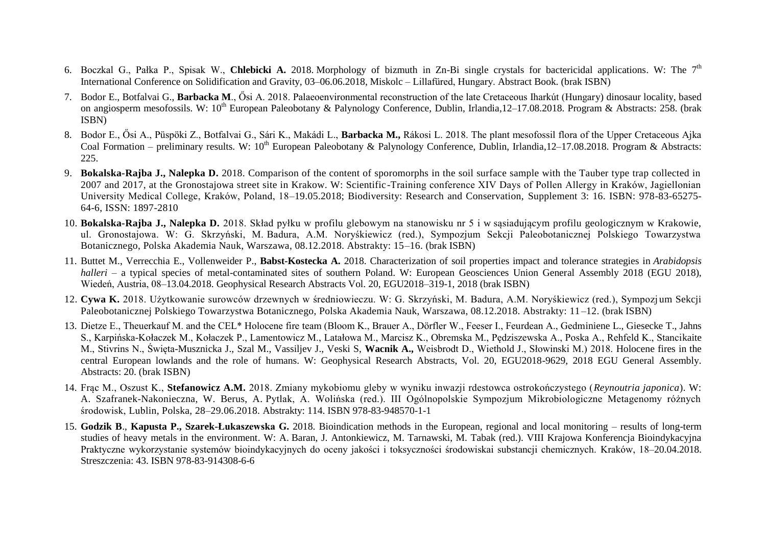- 6. Boczkal G., Pałka P., Spisak W., Chlebicki A. 2018. Morphology of bizmuth in Zn-Bi single crystals for bactericidal applications. W: The 7<sup>th</sup> International Conference on Solidification and Gravity, 03–06.06.2018, Miskolc – Lillafüred, Hungary. Abstract Book. (brak ISBN)
- 7. Bodor E., Botfalvai G., Barbacka M., Ősi A. 2018. Palaeoenvironmental reconstruction of the late Cretaceous Iharkút (Hungary) dinosaur locality, based on angiosperm mesofossils. W: 10<sup>th</sup> European Paleobotany & Palynology Conference, Dublin, Irlandia, 12–17.08.2018. Program & Abstracts: 258. (brak ISBN)
- 8. Bodor E., Ősi A., Püspöki Z., Botfalvai G., Sári K., Makádi L., **Barbacka M.,** Rákosi L. 2018. The plant mesofossil flora of the Upper Cretaceous Ajka Coal Formation – preliminary results. W:  $10^{th}$  European Paleobotany & Palynology Conference, Dublin, Irlandia, 12–17.08.2018. Program & Abstracts: 225.
- 9. **Bokalska-Rajba J., Nalepka D.** 2018. Comparison of the content of sporomorphs in the soil surface sample with the Tauber type trap collected in 2007 and 2017, at the Gronostajowa street site in Krakow. W: Scientific-Training conference XIV Days of Pollen Allergy in Kraków, Jagiellonian University Medical College, Kraków, Poland, 18–19.05.2018; Biodiversity: Research and Conservation, Supplement 3: 16. ISBN: 978-83-65275-64-6, ISSN: 1897-2810
- 10. **Bokalska-Rajba J., Nalepka D.** 2018. Skład pyłku w profilu glebowym na stanowisku nr 5 i w sąsiadującym profilu geologicznym w Krakowie, ul. Gronostajowa. W: G. Skrzyński, M. Badura, A.M. Noryśkiewicz (red.), Sympozjum Sekcji Paleobotanicznej Polskiego Towarzystwa Botanicznego, Polska Akademia Nauk, Warszawa, 08.12.2018. Abstrakty: 15–16. (brak ISBN)
- 11. Buttet M., Verrecchia E., Vollenweider P., **Babst-Kostecka A.** 2018. Characterization of soil properties impact and tolerance strategies in *Arabidopsis halleri* – a typical species of metal-contaminated sites of southern Poland. W: European Geosciences Union General Assembly 2018 (EGU 2018), Wiedeń, Austria, 08–13.04.2018. Geophysical Research Abstracts Vol. 20, EGU2018–319-1, 2018 (brak ISBN)
- 12. **Cywa K.** 2018. Użytkowanie surowców drzewnych w średniowieczu. W: G. Skrzyński, M. Badura, A.M. Noryśkiewicz (red.), Sympozj um Sekcji Paleobotanicznej Polskiego Towarzystwa Botanicznego, Polska Akademia Nauk, Warszawa, 08.12.2018. Abstrakty: 11 –12. (brak ISBN)
- 13. Dietze E., Theuerkauf M. and the EL\* Holocene fire team (Bloom K., Brauer A., Dörfler W., Feeser I., Feurdean A., Gedminiene L., Giesecke T., Jahns S., Karpińska-Kołaczek M., Kołaczek P., Lamentowicz M., Latałowa M., Marcisz K., Obremska M., Pedziszewska A., Poska A., Rehfeld K., Stancikaite M., Stivrins N., Święta-Musznicka J., Szal M., Vassiljev J., Veski S, **Wacnik A.,** Weisbrodt D., Wiethold J., Słowinski M.) 2018. Holocene fires in the central European lowlands and the role of humans. W: Geophysical Research Abstracts, Vol. 20, EGU2018-9629, 2018 EGU General Assembly. Abstracts: 20. (brak ISBN)
- 14. Frąc M., Oszust K., **Stefanowicz A.M.** 2018. Zmiany mykobiomu gleby w wyniku inwazji rdestowca ostrokończystego (*Reynoutria japonica*). W: A. Szafranek-Nakonieczna, W. Berus, A. Pytlak, A. Wolińska (red.). III Ogólnopolskie Sympozjum Mikrobiologiczne Metagenomy różnych środowisk, Lublin, Polska, 28–29.06.2018. Abstrakty: 114. ISBN 978-83-948570-1-1
- 15. **Godzik B**., **Kapusta P., Szarek-Łukaszewska G.** 2018. Bioindication methods in the European, regional and local monitoring results of long-term studies of heavy metals in the environment. W: A. Baran, J. Antonkiewicz, M. Tarnawski, M. Tabak (red.). VIII Krajowa Konferencja Bioindykacyjna Praktyczne wykorzystanie systemów bioindykacyjnych do oceny jakości i toksyczności środowiskai substancji chemicznych. Kraków, 18–20.04.2018. Streszczenia: 43. ISBN 978-83-914308-6-6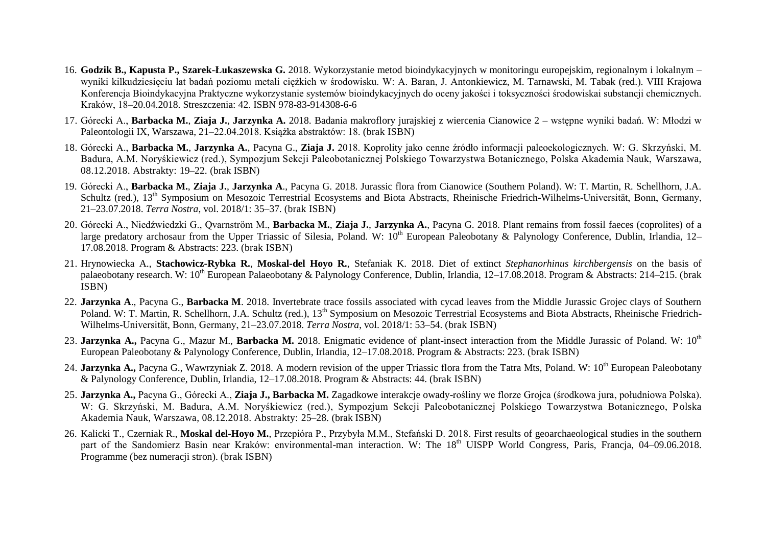- 16. **Godzik B., Kapusta P., Szarek-Łukaszewska G.** 2018. Wykorzystanie metod bioindykacyjnych w monitoringu europejskim, regionalnym i lokalnym wyniki kilkudziesięciu lat badań poziomu metali ciężkich w środowisku. W: A. Baran, J. Antonkiewicz, M. Tarnawski, M. Tabak (red.). VIII Krajowa Konferencja Bioindykacyjna Praktyczne wykorzystanie systemów bioindykacyjnych do oceny jakości i toksyczności środowiskai substancji chemicznych. Kraków, 18–20.04.2018. Streszczenia: 42. ISBN 978-83-914308-6-6
- 17. Górecki A., **Barbacka M.**, **Ziaja J.**, **Jarzynka A.** 2018. Badania makroflory jurajskiej z wiercenia Cianowice 2 wstępne wyniki badań. W: Młodzi w Paleontologii IX, Warszawa, 21–22.04.2018. Książka abstraktów: 18. (brak ISBN)
- 18. Górecki A., **Barbacka M.**, **Jarzynka A.**, Pacyna G., **Ziaja J.** 2018. Koprolity jako cenne źródło informacji paleoekologicznych. W: G. Skrzyński, M. Badura, A.M. Noryśkiewicz (red.), Sympozjum Sekcji Paleobotanicznej Polskiego Towarzystwa Botanicznego, Polska Akademia Nauk, Warszawa, 08.12.2018. Abstrakty: 19–22. (brak ISBN)
- 19. Górecki A., **Barbacka M.**, **Ziaja J.**, **Jarzynka A**., Pacyna G. 2018. Jurassic flora from Cianowice (Southern Poland). W: T. Martin, R. Schellhorn, J.A. Schultz (red.), 13<sup>th</sup> Symposium on Mesozoic Terrestrial Ecosystems and Biota Abstracts, Rheinische Friedrich-Wilhelms-Universität, Bonn, Germany, 21–23.07.2018. *Terra Nostra*, vol. 2018/1: 35–37. (brak ISBN)
- 20. Górecki A., Niedźwiedzki G., Qvarnström M., **Barbacka M.**, **Ziaja J.**, **Jarzynka A.**, Pacyna G. 2018. Plant remains from fossil faeces (coprolites) of a large predatory archosaur from the Upper Triassic of Silesia, Poland. W:  $10^{th}$  European Paleobotany & Palynology Conference, Dublin, Irlandia, 12– 17.08.2018. Program & Abstracts: 223. (brak ISBN)
- 21. Hrynowiecka A., **Stachowicz-Rybka R.**, **Moskal-del Hoyo R.**, Stefaniak K. 2018. Diet of extinct *Stephanorhinus kirchbergensis* on the basis of palaeobotany research. W:  $10^{th}$  European Palaeobotany & Palynology Conference, Dublin, Irlandia,  $12-17.08.2018$ . Program & Abstracts: 214–215. (brak ISBN)
- 22. **Jarzynka A**., Pacyna G., **Barbacka M**. 2018. Invertebrate trace fossils associated with cycad leaves from the Middle Jurassic Grojec clays of Southern Poland. W: T. Martin, R. Schellhorn, J.A. Schultz (red.), 13<sup>th</sup> Symposium on Mesozoic Terrestrial Ecosystems and Biota Abstracts, Rheinische Friedrich-Wilhelms-Universität, Bonn, Germany, 21–23.07.2018. *Terra Nostra*, vol. 2018/1: 53–54. (brak ISBN)
- 23. **Jarzynka A.,** Pacyna G., Mazur M., **Barbacka M.** 2018. Enigmatic evidence of plant-insect interaction from the Middle Jurassic of Poland. W: 10<sup>th</sup> European Paleobotany & Palynology Conference, Dublin, Irlandia, 12–17.08.2018. Program & Abstracts: 223. (brak ISBN)
- 24. Jarzynka A., Pacyna G., Wawrzyniak Z. 2018. A modern revision of the upper Triassic flora from the Tatra Mts, Poland. W: 10<sup>th</sup> European Paleobotany & Palynology Conference, Dublin, Irlandia, 12–17.08.2018. Program & Abstracts: 44. (brak ISBN)
- 25. **Jarzynka A.,** Pacyna G., Górecki A., **Ziaja J., Barbacka M.** Zagadkowe interakcje owady-rośliny we florze Grojca (środkowa jura, południowa Polska). W: G. Skrzyński, M. Badura, A.M. Noryśkiewicz (red.), Sympozjum Sekcji Paleobotanicznej Polskiego Towarzystwa Botanicznego, Polska Akademia Nauk, Warszawa, 08.12.2018. Abstrakty: 25–28. (brak ISBN)
- 26. Kalicki T., Czerniak R., **Moskal del-Hoyo M.**, Przepióra P., Przybyła M.M., Stefański D. 2018. First results of geoarchaeological studies in the southern part of the Sandomierz Basin near Kraków: environmental-man interaction. W: The 18<sup>th</sup> UISPP World Congress, Paris, Francia, 04–09.06.2018. Programme (bez numeracji stron). (brak ISBN)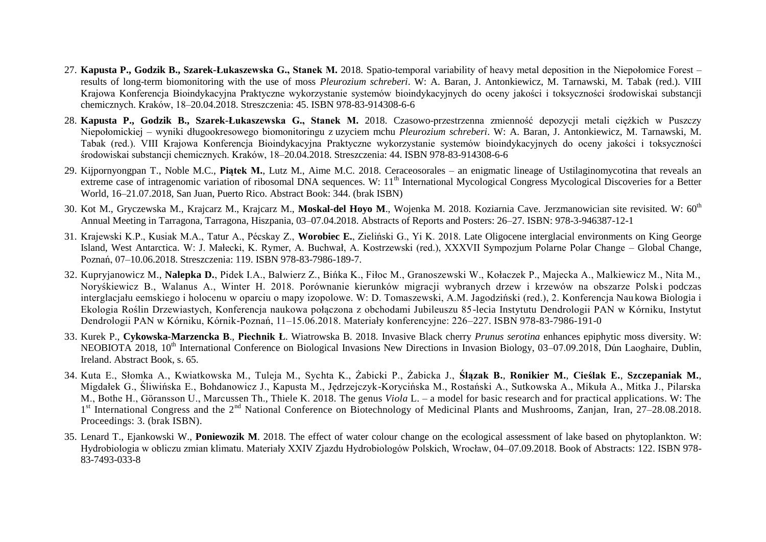- 27. **Kapusta P., Godzik B., Szarek-Łukaszewska G., Stanek M.** 2018. Spatio-temporal variability of heavy metal deposition in the Niepołomice Forest results of long-term biomonitoring with the use of moss *Pleurozium schreberi*. W: A. Baran, J. Antonkiewicz, M. Tarnawski, M. Tabak (red.). VIII Krajowa Konferencja Bioindykacyjna Praktyczne wykorzystanie systemów bioindykacyjnych do oceny jakości i toksyczności środowiskai substancji chemicznych. Kraków, 18–20.04.2018. Streszczenia: 45. ISBN 978-83-914308-6-6
- 28. **Kapusta P., Godzik B., Szarek-Łukaszewska G., Stanek M.** 2018. Czasowo-przestrzenna zmiennoś depozycji metali ciężkich w Puszczy Niepołomickiej – wyniki długookresowego biomonitoringu z uzyciem mchu *Pleurozium schreberi*. W: A. Baran, J. Antonkiewicz, M. Tarnawski, M. Tabak (red.). VIII Krajowa Konferencja Bioindykacyjna Praktyczne wykorzystanie systemów bioindykacyjnych do oceny jakości i toksyczności środowiskai substancji chemicznych. Kraków, 18–20.04.2018. Streszczenia: 44. ISBN 978-83-914308-6-6
- 29. Kijpornyongpan T., Noble M.C., **Piątek M.**, Lutz M., Aime M.C. 2018. Ceraceosorales an enigmatic lineage of Ustilaginomycotina that reveals an extreme case of intragenomic variation of ribosomal DNA sequences. W: 11<sup>th</sup> International Mycological Congress Mycological Discoveries for a Better World, 16–21.07.2018, San Juan, Puerto Rico. Abstract Book: 344. (brak ISBN)
- 30. Kot M., Gryczewska M., Krajcarz M., Krajcarz M., **Moskal-del Hoyo M**., Wojenka M. 2018. Koziarnia Cave. Jerzmanowician site revisited. W: 60th Annual Meeting in Tarragona, Tarragona, Hiszpania, 03–07.04.2018. Abstracts of Reports and Posters: 26–27. ISBN: 978-3-946387-12-1
- 31. Krajewski K.P., Kusiak M.A., Tatur A., Pécskay Z., **Worobiec E.**, Zieliński G., Yi K. 2018. Late Oligocene interglacial environments on King George Island, West Antarctica. W: J. Małecki, K. Rymer, A. Buchwał, A. Kostrzewski (red.), XXXVII Sympozium Polarne Polar Change – Global Change. Poznań, 07–10.06.2018. Streszczenia: 119. ISBN 978-83-7986-189-7.
- 32. Kupryjanowicz M., **Nalepka D.**, Pidek I.A., Balwierz Z., Bińka K., Fiłoc M., Granoszewski W., Kołaczek P., Majecka A., Malkiewicz M., Nita M., Noryśkiewicz B., Walanus A., Winter H. 2018. Porównanie kierunków migracji wybranych drzew i krzewów na obszarze Polski podczas interglacjału eemskiego i holocenu w oparciu o mapy izopolowe. W: D. Tomaszewski, A.M. Jagodziński (red.), 2. Konferencja Nau kowa Biologia i Ekologia Roślin Drzewiastych, Konferencja naukowa połączona z obchodami Jubileuszu 85-lecia Instytutu Dendrologii PAN w Kórniku, Instytut Dendrologii PAN w Kórniku, Kórnik-Poznań, 11–15.06.2018. Materiały konferencyjne: 226–227. ISBN 978-83-7986-191-0
- 33. Kurek P., **Cykowska-Marzencka B**., **Piechnik Ł**. Wiatrowska B. 2018. Invasive Black cherry *Prunus serotina* enhances epiphytic moss diversity. W: NEOBIOTA 2018, 10<sup>th</sup> International Conference on Biological Invasions New Directions in Invasion Biology, 03–07.09.2018, Dún Laoghaire, Dublin, Ireland. Abstract Book, s. 65.
- 34. Kuta E., Słomka A., Kwiatkowska M., Tuleja M., Sychta K., Żabicki P., Żabicka J., **Ślązak B.**, **Ronikier M.**, **Cieślak E.**, **Szczepaniak M.**, Migdałek G., Śliwińska E., Bohdanowicz J., Kapusta M., Jędrzejczyk-Korycińska M., Rostański A., Sutkowska A., Mikuła A., Mitka J., Pilarska M., Bothe H., Göransson U., Marcussen Th., Thiele K. 2018. The genus *Viola* L. – a model for basic research and for practical applications. W: The 1<sup>st</sup> International Congress and the 2<sup>nd</sup> National Conference on Biotechnology of Medicinal Plants and Mushrooms, Zanjan, Iran, 27–28.08.2018. Proceedings: 3. (brak ISBN).
- 35. Lenard T., Ejankowski W., **Poniewozik M**. 2018. The effect of water colour change on the ecological assessment of lake based on phytoplankton. W: Hydrobiologia w obliczu zmian klimatu. Materiały XXIV Zjazdu Hydrobiologów Polskich, Wrocław, 04–07.09.2018. Book of Abstracts: 122. ISBN 978- 83-7493-033-8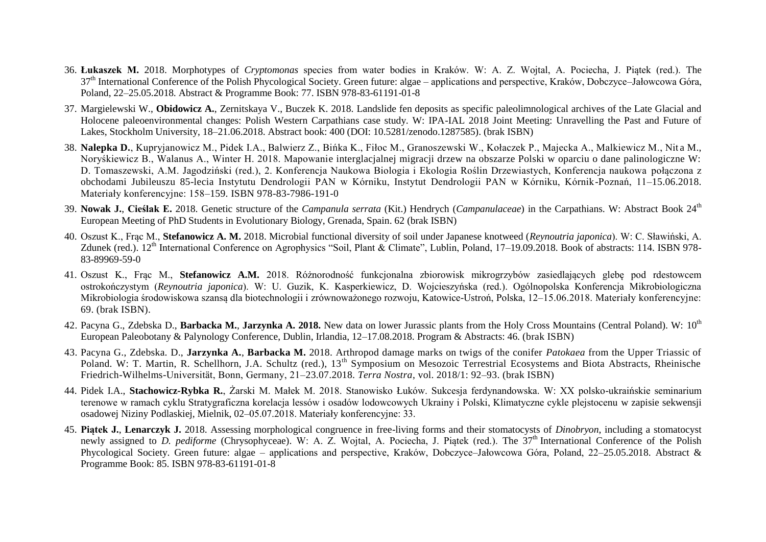- 36. **Łukaszek M.** 2018. Morphotypes of *Cryptomonas* species from water bodies in Kraków. W: A. Z. Wojtal, A. Pociecha, J. Piątek (red.). The 37<sup>th</sup> International Conference of the Polish Phycological Society. Green future: algae – applications and perspective, Kraków, Dobczyce–Jałowcowa Góra, Poland, 22–25.05.2018. Abstract & Programme Book: 77. ISBN 978-83-61191-01-8
- 37. Margielewski W., **Obidowicz A.**, Zernitskaya V., Buczek K. 2018. Landslide fen deposits as specific paleolimnological archives of the Late Glacial and Holocene paleoenvironmental changes: Polish Western Carpathians case study. W: IPA-IAL 2018 Joint Meeting: Unravelling the Past and Future of Lakes, Stockholm University, 18–21.06.2018. Abstract book: 400 (DOI: 10.5281/zenodo.1287585). (brak ISBN)
- 38. **Nalepka D.**, Kupryjanowicz M., Pidek I.A., Balwierz Z., Bińka K., Fiłoc M., Granoszewski W., Kołaczek P., Majecka A., Malkiewicz M., Nit a M., Noryśkiewicz B., Walanus A., Winter H. 2018. Mapowanie interglacjalnej migracji drzew na obszarze Polski w oparciu o dane palinologiczne W: D. Tomaszewski, A.M. Jagodziński (red.), 2. Konferencja Naukowa Biologia i Ekologia Roślin Drzewiastych, Konferencja naukowa połączona z obchodami Jubileuszu 85-lecia Instytutu Dendrologii PAN w Kórniku, Instytut Dendrologii PAN w Kórniku, Kórnik-Poznań, 11–15.06.2018. Materiały konferencyjne: 158–159. ISBN 978-83-7986-191-0
- 39. **Nowak J.**, **Cieślak E.** 2018. Genetic structure of the *Campanula serrata* (Kit.) Hendrych (*Campanulaceae*) in the Carpathians. W: Abstract Book 24th European Meeting of PhD Students in Evolutionary Biology, Grenada, Spain. 62 (brak ISBN)
- 40. Oszust K., Frac M., **Stefanowicz A. M.** 2018. Microbial functional diversity of soil under Japanese knotweed (*Reynoutria japonica*). W: C. Sławiński, A. Zdunek (red.). 12<sup>th</sup> International Conference on Agrophysics "Soil, Plant & Climate", Lublin, Poland, 17–19.09.2018. Book of abstracts: 114. ISBN 978-83-89969-59-0
- 41. Oszust K., Frąc M., **Stefanowicz A.M.** 2018. Różnorodność funkcjonalna zbiorowisk mikrogrzybów zasiedlających glebę pod rdestowcem ostrokończystym (*Reynoutria japonica*). W: U. Guzik, K. Kasperkiewicz, D. Wojcieszyńska (red.). Ogólnopolska Konferencja Mikrobiologiczna Mikrobiologia środowiskowa szansą dla biotechnologii i zrównoważonego rozwoju, Katowice-Ustroń, Polska, 12–15.06.2018. Materiały konferencyjne: 69. (brak ISBN).
- 42. Pacyna G., Zdebska D., **Barbacka M., Jarzynka A. 2018.** New data on lower Jurassic plants from the Holy Cross Mountains (Central Poland). W: 10<sup>th</sup> European Paleobotany & Palynology Conference, Dublin, Irlandia, 12–17.08.2018. Program & Abstracts: 46. (brak ISBN)
- 43. Pacyna G., Zdebska. D., **Jarzynka A.**, **Barbacka M.** 2018. Arthropod damage marks on twigs of the conifer *Patokaea* from the Upper Triassic of Poland. W: T. Martin, R. Schellhorn, J.A. Schultz (red.), 13<sup>th</sup> Symposium on Mesozoic Terrestrial Ecosystems and Biota Abstracts, Rheinische Friedrich-Wilhelms-Universität, Bonn, Germany, 21–23.07.2018. *Terra Nostra*, vol. 2018/1: 92–93. (brak ISBN)
- 44. Pidek I.A., **Stachowicz-Rybka R.**, Żarski M. Małek M. 2018. Stanowisko Łuków. Sukcesja ferdynandowska. W: XX polsko-ukraińskie seminarium terenowe w ramach cyklu Stratygraficzna korelacja lessów i osadów lodowcowych Ukrainy i Polski, Klimatyczne cykle plejstocenu w zapisie sekwensji osadowej Niziny Podlaskiej, Mielnik, 02–05.07.2018. Materiały konferencyjne: 33.
- 45. **Piątek J.**, **Lenarczyk J.** 2018. Assessing morphological congruence in free-living forms and their stomatocysts of *Dinobryon*, including a stomatocyst newly assigned to *D. pediforme* (Chrysophyceae). W: A. Z. Wojtal, A. Pociecha, J. Piatek (red.). The 37<sup>th</sup> International Conference of the Polish Phycological Society. Green future: algae – applications and perspective, Kraków, Dobczyce–Jałowcowa Góra, Poland, 22–25.05.2018. Abstract & Programme Book: 85. ISBN 978-83-61191-01-8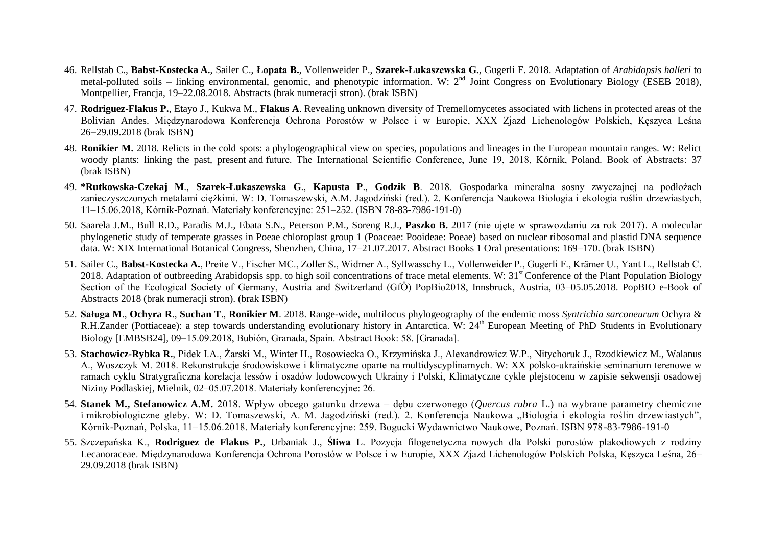- 46. Rellstab C., **Babst-Kostecka A.**, Sailer C., **Łopata B.**, Vollenweider P., **Szarek-Łukaszewska G.**, Gugerli F. 2018. Adaptation of *Arabidopsis halleri* to metal-polluted soils – linking environmental, genomic, and phenotypic information. W:  $2^{nd}$  Joint Congress on Evolutionary Biology (ESEB 2018), Montpellier, Francia, 19–22.08.2018. Abstracts (brak numeracii stron). (brak ISBN)
- 47. **Rodriguez-Flakus P.**, Etayo J., Kukwa M., **Flakus A**. Revealing unknown diversity of Tremellomycetes associated with lichens in protected areas of the Bolivian Andes. Międzynarodowa Konferencja Ochrona Porostów w Polsce i w Europie, XXX Zjazd Lichenologów Polskich, Kęszyca Leśna 2629.09.2018 (brak ISBN)
- 48. **Ronikier M.** 2018. Relicts in the cold spots: a phylogeographical view on species, populations and lineages in the European mountain ranges. W: Relict woody plants: linking the past, present and future. The International Scientific Conference, June 19, 2018, Kórnik, Poland. Book of Abstracts: 37 (brak ISBN)
- 49. **\*Rutkowska-Czekaj M**., **Szarek-Łukaszewska G**., **Kapusta P**., **Godzik B**. 2018. Gospodarka mineralna sosny zwyczajnej na podłożach zanieczyszczonych metalami ciężkimi. W: D. Tomaszewski, A.M. Jagodziński (red.). 2. Konferencja Naukowa Biologia i ekologia roślin drzewiastych, 11–15.06.2018, Kórnik-Poznań. Materiały konferencyjne: 251–252. (ISBN 78-83-7986-191-0)
- 50. Saarela J.M., Bull R.D., Paradis M.J., Ebata S.N., Peterson P.M., Soreng R.J., **Paszko B.** 2017 (nie ujęte w sprawozdaniu za rok 2017). A molecular phylogenetic study of temperate grasses in Poeae chloroplast group 1 (Poaceae: Pooideae: Poeae) based on nuclear ribosomal and plastid DNA sequence data. W: XIX International Botanical Congress, Shenzhen, China, 17–21.07.2017. Abstract Books 1 Oral presentations: 169–170. (brak ISBN)
- 51. Sailer C., Babst-Kostecka A., Preite V., Fischer MC., Zoller S., Widmer A., Syllwasschy L., Vollenweider P., Gugerli F., Krämer U., Yant L., Rellstab C. 2018. Adaptation of outbreeding Arabidopsis spp. to high soil concentrations of trace metal elements. W:  $31<sup>st</sup>$  Conference of the Plant Population Biology Section of the Ecological Society of Germany, Austria and Switzerland (GfÖ) PopBio2018, Innsbruck, Austria, 03-05.05.2018. PopBIO e-Book of Abstracts 2018 (brak numeracji stron). (brak ISBN)
- 52. **Saługa M**., **Ochyra R**., **Suchan T**., **Ronikier M**. 2018. Range-wide, multilocus phylogeography of the endemic moss *Syntrichia sarconeurum* Ochyra & R.H.Zander (Pottiaceae): a step towards understanding evolutionary history in Antarctica. W: 24<sup>th</sup> European Meeting of PhD Students in Evolutionary Biology [EMBSB24], 09-15.09.2018, Bubión, Granada, Spain. Abstract Book: 58. [Granada].
- 53. **Stachowicz-Rybka R.**, Pidek I.A., Żarski M., Winter H., Rosowiecka O., Krzymińska J., Alexandrowicz W.P., Nitychoruk J., Rzodkiewicz M., Walanus A., Woszczyk M. 2018. Rekonstrukcje środowiskowe i klimatyczne oparte na multidyscyplinarnych. W: XX polsko-ukraińskie seminarium terenowe w ramach cyklu Stratygraficzna korelacja lessów i osadów lodowcowych Ukrainy i Polski, Klimatyczne cykle plejstocenu w zapisie sekwensji osadowej Niziny Podlaskiej, Mielnik, 02–05.07.2018. Materiały konferencyjne: 26.
- 54. **Stanek M., Stefanowicz A.M.** 2018. Wpływ obcego gatunku drzewa dębu czerwonego (*Quercus rubra* L.) na wybrane parametry chemiczne i mikrobiologiczne gleby. W: D. Tomaszewski, A. M. Jagodziński (red.). 2. Konferencja Naukowa "Biologia i ekologia roślin drzewiastych", Kórnik-Poznań, Polska, 11–15.06.2018. Materiały konferencyjne: 259. Bogucki Wydawnictwo Naukowe, Poznań. ISBN 978-83-7986-191-0
- 55. Szczepańska K., **Rodriguez de Flakus P.**, Urbaniak J., **Śliwa L**. Pozycja filogenetyczna nowych dla Polski porostów plakodiowych z rodziny Lecanoraceae. Międzynarodowa Konferencja Ochrona Porostów w Polsce i w Europie, XXX Zjazd Lichenologów Polskich Polska, Kęszyca Leśna, 26– 29.09.2018 (brak ISBN)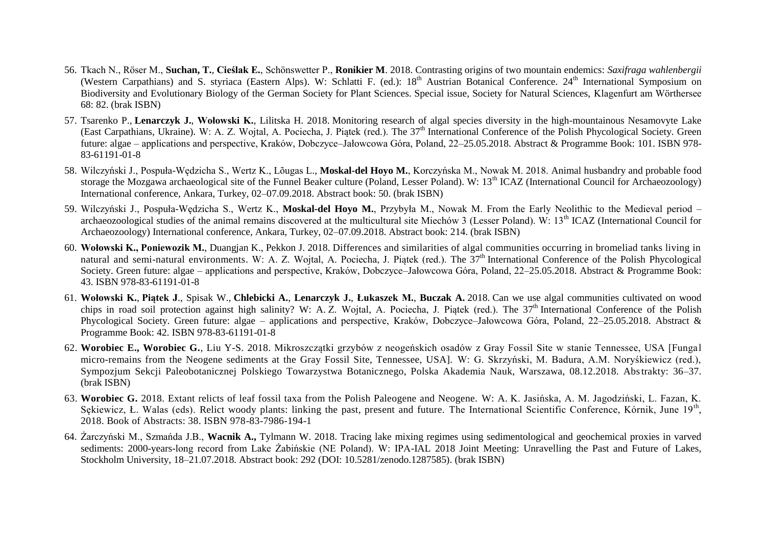- 56. Tkach N., Röser M., **Suchan, T.**, **Cieślak E.**, Schönswetter P., **Ronikier M**. 2018. Contrasting origins of two mountain endemics: *Saxifraga wahlenbergii* (Western Carpathians) and S. styriaca (Eastern Alps). W: Schlatti F. (ed.): 18<sup>th</sup> Austrian Botanical Conference. 24<sup>th</sup> International Symposium on Biodiversity and Evolutionary Biology of the German Society for Plant Sciences. Special issue, Society for Natural Sciences, Klagenfurt am Wörthersee 68: 82. (brak ISBN)
- 57. Tsarenko P., **Lenarczyk J.**, **Wołowski K.**, Lilitska H. 2018. Monitoring research of algal species diversity in the high-mountainous Nesamovyte Lake (East Carpathians, Ukraine). W: A. Z. Wojtal, A. Pociecha, J. Piątek (red.). The 37<sup>th</sup> International Conference of the Polish Phycological Society. Green future: algae – applications and perspective, Kraków, Dobczyce–Jałowcowa Góra, Poland, 22–25.05.2018. Abstract & Programme Book: 101. ISBN 978- 83-61191-01-8
- 58. Wilczyński J., Pospuła-Wędzicha S., Wertz K., Lõugas L., **Moskal-del Hoyo M.**, Korczyńska M., Nowak M. 2018. Animal husbandry and probable food storage the Mozgawa archaeological site of the Funnel Beaker culture (Poland, Lesser Poland). W: 13<sup>th</sup> ICAZ (International Council for Archaeozoology) International conference, Ankara, Turkey, 02–07.09.2018. Abstract book: 50. (brak ISBN)
- 59. Wilczyński J., Pospuła-Wędzicha S., Wertz K., **Moskal-del Hoyo M.**, Przybyła M., Nowak M. From the Early Neolithic to the Medieval period archaeozoological studies of the animal remains discovered at the multicultural site Miechów 3 (Lesser Poland). W:  $13<sup>th</sup> ICAZ$  (International Council for Archaeozoology) International conference, Ankara, Turkey, 02–07.09.2018. Abstract book: 214. (brak ISBN)
- 60. **Wołowski K., Poniewozik M.**, Duangjan K., Pekkon J. 2018. Differences and similarities of algal communities occurring in bromeliad tanks living in natural and semi-natural environments. W: A. Z. Wojtal, A. Pociecha, J. Piątek (red.). The  $37<sup>th</sup>$  International Conference of the Polish Phycological Society. Green future: algae – applications and perspective, Kraków, Dobczyce–Jałowcowa Góra, Poland, 22–25.05.2018. Abstract & Programme Book: 43. ISBN 978-83-61191-01-8
- 61. **Wołowski K.**, **Piątek J**., Spisak W., **Chlebicki A.**, **Lenarczyk J.**, **Łukaszek M.**, **Buczak A.** 2018. Can we use algal communities cultivated on wood chips in road soil protection against high salinity? W: A. Z. Wojtal, A. Pociecha, J. Piatek (red.). The 37<sup>th</sup> International Conference of the Polish Phycological Society. Green future: algae – applications and perspective, Kraków, Dobczyce–Jałowcowa Góra, Poland, 22–25.05.2018. Abstract & Programme Book: 42. ISBN 978-83-61191-01-8
- 62. **Worobiec E., Worobiec G.**, Liu Y-S. 2018. Mikroszczątki grzybów z neogeńskich osadów z Gray Fossil Site w stanie Tennessee, USA [Fungal micro-remains from the Neogene sediments at the Gray Fossil Site, Tennessee, USA]. W: G. Skrzyński, M. Badura, A.M. Noryśkiewicz (red.), Sympozjum Sekcji Paleobotanicznej Polskiego Towarzystwa Botanicznego, Polska Akademia Nauk, Warszawa, 08.12.2018. Abstrakty: 36–37. (brak ISBN)
- 63. **Worobiec G.** 2018. Extant relicts of leaf fossil taxa from the Polish Paleogene and Neogene. W: A. K. Jasińska, A. M. Jagodziński, L. Fazan, K. Sękiewicz, Ł. Walas (eds). Relict woody plants: linking the past, present and future. The International Scientific Conference, Kórnik, June 19<sup>th</sup>, 2018. Book of Abstracts: 38. ISBN 978-83-7986-194-1
- 64. Żarczyński M., Szmańda J.B., **Wacnik A.,** Tylmann W. 2018. Tracing lake mixing regimes using sedimentological and geochemical proxies in varved sediments: 2000-years-long record from Lake Żabińskie (NE Poland). W: IPA-IAL 2018 Joint Meeting: Unravelling the Past and Future of Lakes, Stockholm University, 18–21.07.2018. Abstract book: 292 (DOI: 10.5281/zenodo.1287585). (brak ISBN)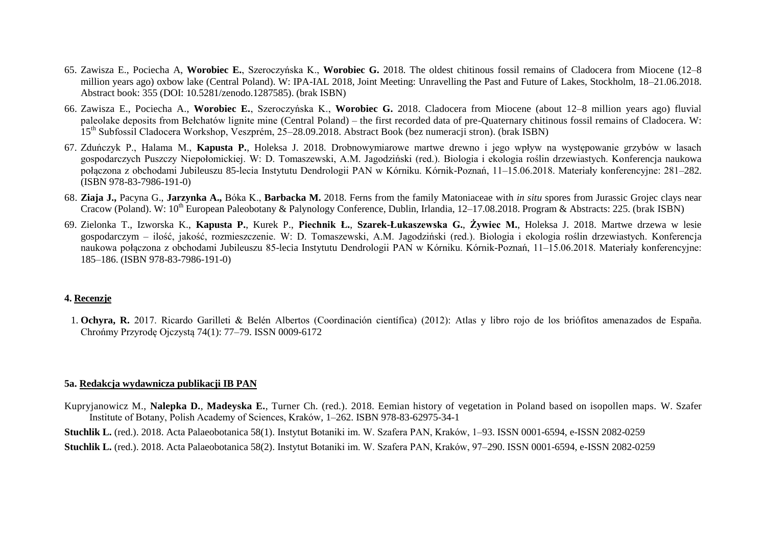- 65. Zawisza E., Pociecha A, **Worobiec E.**, Szeroczyńska K., **Worobiec G.** 2018. The oldest chitinous fossil remains of Cladocera from Miocene (12–8 million years ago) oxbow lake (Central Poland). W: IPA-IAL 2018, Joint Meeting: Unravelling the Past and Future of Lakes, Stockholm, 18–21.06.2018. Abstract book: 355 (DOI: 10.5281/zenodo.1287585). (brak ISBN)
- 66. Zawisza E., Pociecha A., **Worobiec E.**, Szeroczyńska K., **Worobiec G.** 2018. Cladocera from Miocene (about 12–8 million years ago) fluvial paleolake deposits from Bełchatów lignite mine (Central Poland) – the first recorded data of pre-Quaternary chitinous fossil remains of Cladocera. W: 15<sup>th</sup> Subfossil Cladocera Workshop, Veszprém, 25–28.09.2018. Abstract Book (bez numeracji stron). (brak ISBN)
- 67. Zduńczyk P., Halama M., **Kapusta P.**, Holeksa J. 2018. Drobnowymiarowe martwe drewno i jego wpływ na występowanie grzybów w lasach gospodarczych Puszczy Niepołomickiej. W: D. Tomaszewski, A.M. Jagodziński (red.). Biologia i ekologia roślin drzewiastych. Konferencja naukowa połączona z obchodami Jubileuszu 85-lecia Instytutu Dendrologii PAN w Kórniku. Kórnik-Poznań, 11–15.06.2018. Materiały konferencyjne: 281–282. (ISBN 978-83-7986-191-0)
- 68. **Ziaja J.,** Pacyna G., **Jarzynka A.,** Bóka K., **Barbacka M.** 2018. Ferns from the family Matoniaceae with *in situ* spores from Jurassic Grojec clays near Cracow (Poland). W:  $10^{th}$  European Paleobotany & Palynology Conference, Dublin, Irlandia, 12–17.08.2018. Program & Abstracts: 225. (brak ISBN)
- 69. Zielonka T., Izworska K., **Kapusta P.**, Kurek P., **Piechnik Ł.**, **Szarek-Łukaszewska G.**, **Żywiec M.**, Holeksa J. 2018. Martwe drzewa w lesie gospodarczym – ilość, jakość, rozmieszczenie. W: D. Tomaszewski, A.M. Jagodziński (red.). Biologia i ekologia roślin drzewiastych. Konferencja naukowa połączona z obchodami Jubileuszu 85-lecia Instytutu Dendrologii PAN w Kórniku. Kórnik-Poznań, 11–15.06.2018. Materiały konferencyjne: 185–186. (ISBN 978-83-7986-191-0)

#### **4. Recenzje**

1. **Ochyra, R.** 2017. Ricardo Garilleti & Belén Albertos ( oordinación científica) (2012): Atlas y libro rojo de los briófitos amenazados de España. hrońmy Przyrodę Ojczystą 74(1): 77–79. ISSN 0009-6172

#### **5a. Redakcja wydawnicza publikacji IB PAN**

- Kupryjanowicz M., **Nalepka D.**, **Madeyska E.**, Turner Ch. (red.). 2018. Eemian history of vegetation in Poland based on isopollen maps. W. Szafer Institute of Botany, Polish Academy of Sciences, Kraków, 1–262. ISBN 978-83-62975-34-1
- **Stuchlik L.** (red.). 2018. Acta Palaeobotanica 58(1). Instytut Botaniki im. W. Szafera PAN, Kraków, 1–93. ISSN 0001-6594, e-ISSN 2082-0259
- **Stuchlik L.** (red.). 2018. Acta Palaeobotanica 58(2). Instytut Botaniki im. W. Szafera PAN, Kraków, 97–290. ISSN 0001-6594, e-ISSN 2082-0259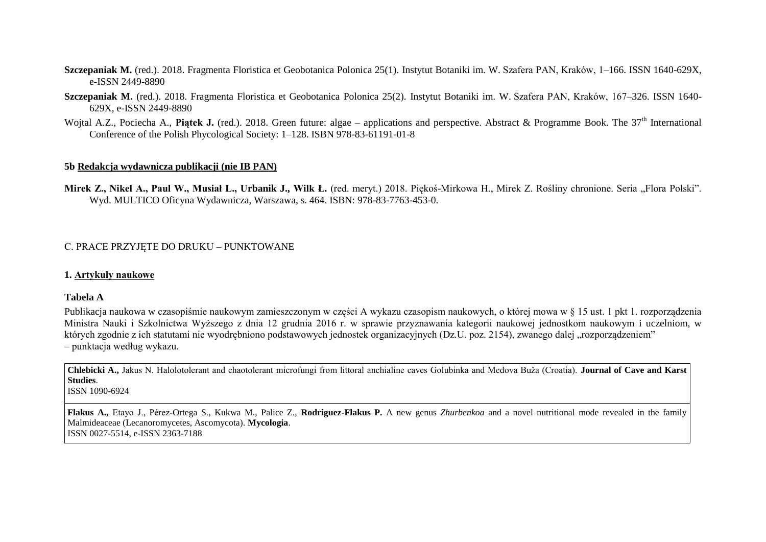- **Szczepaniak M.** (red.). 2018. Fragmenta Floristica et Geobotanica Polonica 25(1). Instytut Botaniki im. W. Szafera PAN, Kraków, 1–166. ISSN 1640-629X, e-ISSN 2449-8890
- **Szczepaniak M.** (red.). 2018. Fragmenta Floristica et Geobotanica Polonica 25(2). Instytut Botaniki im. W. Szafera PAN, Kraków, 167–326. ISSN 1640- 629X, e-ISSN 2449-8890
- Wojtal A.Z., Pociecha A., Piątek J. (red.). 2018. Green future: algae applications and perspective. Abstract & Programme Book. The 37<sup>th</sup> International Conference of the Polish Phycological Society: 1–128. ISBN 978-83-61191-01-8

#### **5b Redakcja wydawnicza publikacji (nie IB PAN)**

Mirek Z., Nikel A., Paul W., Musiał L., Urbanik J., Wilk Ł. (red. meryt.) 2018. Piękoś-Mirkowa H., Mirek Z. Rośliny chronione. Seria "Flora Polski". Wyd. MULTICO Oficyna Wydawnicza, Warszawa, s. 464. ISBN: 978-83-7763-453-0.

### . PRA E PRZYJĘTE DO DRUKU – PUNKTOWANE

#### **1. Artykuły naukowe**

#### **Tabela A**

Publikacja naukowa w czasopiśmie naukowym zamieszczonym w części A wykazu czasopism naukowych, o której mowa w § 15 ust. 1 pkt 1. rozporządzenia Ministra Nauki i Szkolnictwa Wyższego z dnia 12 grudnia 2016 r. w sprawie przyznawania kategorii naukowej jednostkom naukowym i uczelniom, w których zgodnie z ich statutami nie wyodrębniono podstawowych jednostek organizacyjnych (Dz.U. poz. 2154), zwanego dalej "rozporządzeniem" – punktacja według wykazu.

**Chlebicki A., Jakus N. Halolotolerant and chaotolerant microfungi from littoral anchialine caves Golubinka and Medova Buža (Croatia). <b>Journal of Cave and Karst Studies**.

ISSN 1090-6924

**Flakus A.,** Etayo J., Pérez-Ortega S., Kukwa M., Palice Z., **Rodriguez-Flakus P.** A new genus *Zhurbenkoa* and a novel nutritional mode revealed in the family Malmideaceae (Lecanoromycetes, Ascomycota). **Mycologia**. ISSN 0027-5514, e-ISSN 2363-7188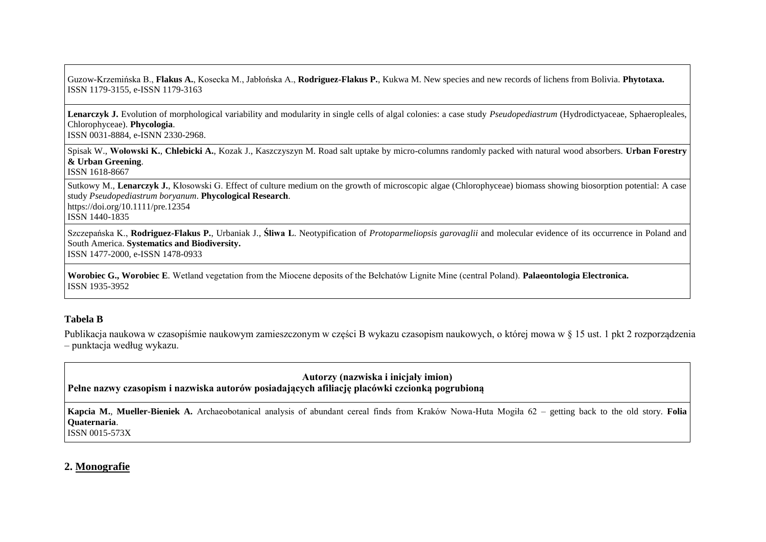Guzow-Krzemińska B., **Flakus A.**, Kosecka M., Jabłońska A., **Rodriguez-Flakus P.**, Kukwa M. New species and new records of lichens from Bolivia. **Phytotaxa.** ISSN 1179-3155, e-ISSN 1179-3163

**Lenarczyk J.** Evolution of morphological variability and modularity in single cells of algal colonies: a case study *Pseudopediastrum* (Hydrodictyaceae, Sphaeropleales, Chlorophyceae). **Phycologia**. ISSN 0031-8884, e-ISNN 2330-2968.

Spisak W., **Wołowski K.**, **Chlebicki A.**, Kozak J., Kaszczyszyn M. Road salt uptake by micro-columns randomly packed with natural wood absorbers. **Urban Forestry & Urban Greening**.

ISSN 1618-8667

Sutkowy M., Lenarczyk J., Kłosowski G. Effect of culture medium on the growth of microscopic algae (Chlorophyceae) biomass showing biosorption potential: A case study *Pseudopediastrum boryanum*. **Phycological Research**. https://doi.org/10.1111/pre.12354

ISSN 1440-1835

Szczepańska K., **Rodriguez-Flakus P.**, Urbaniak J., **Śliwa L**. Neotypification of *Protoparmeliopsis garovaglii* and molecular evidence of its occurrence in Poland and South America. **Systematics and Biodiversity.**

ISSN 1477-2000, e-ISSN 1478-0933

**Worobiec G., Worobiec E**. Wetland vegetation from the Miocene deposits of the Bełchatów Lignite Mine (central Poland). **Palaeontologia Electronica.** ISSN 1935-3952

#### **Tabela B**

Publikacja naukowa w czasopiśmie naukowym zamieszczonym w części B wykazu czasopism naukowych, o której mowa w § 15 ust. 1 pkt 2 rozporządzenia – punktacja według wykazu.

# **Autorzy (nazwiska i inicjały imion) Pełne nazwy czasopism i nazwiska autorów posiadających afiliację placówki czcionką pogrubioną**

**Kapcia M.**, **Mueller-Bieniek A.** Archaeobotanical analysis of abundant cereal finds from Kraków Nowa-Huta Mogiła 62 – getting back to the old story. **Folia Quaternaria**.

ISSN 0015-573X

# **2. Monografie**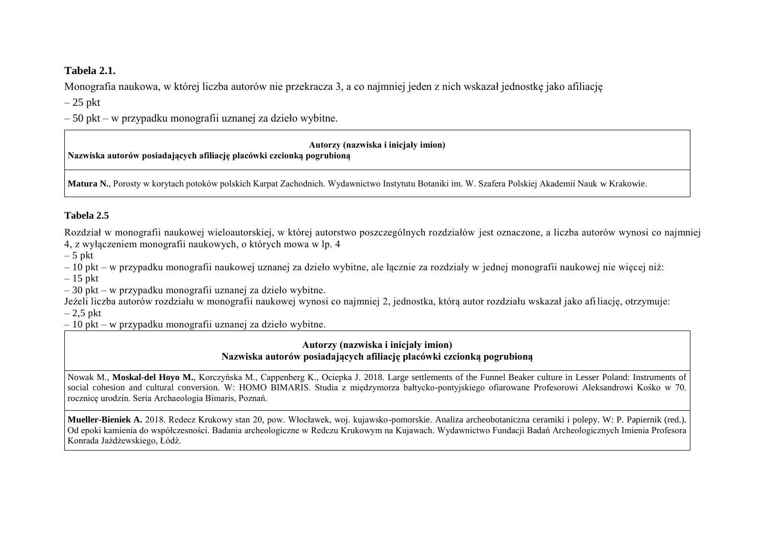# **Tabela 2.1.**

Monografia naukowa, w której liczba autorów nie przekracza 3, a co najmniej jeden z nich wskazał jednostkę jako afiliację

 $-25$  pkt

– 50 pkt – w przypadku monografii uznanej za dzieło wybitne.

# **Autorzy (nazwiska i inicjały imion)**

**Nazwiska autorów posiadających afiliację placówki czcionką pogrubioną**

**Matura N.**, Porosty w korytach potoków polskich Karpat Zachodnich. Wydawnictwo Instytutu Botaniki im. W. Szafera Polskiej Akademii Nauk w Krakowie.

# **Tabela 2.5**

Rozdział w monografii naukowej wieloautorskiej, w której autorstwo poszczególnych rozdziałów jest oznaczone, a liczba autorów wynosi co najmniej 4, z wyłączeniem monografii naukowych, o których mowa w lp. 4

 $-5$  pkt

– 10 pkt – w przypadku monografii naukowej uznanej za dzieło wybitne, ale łącznie za rozdziały w jednej monografii naukowej nie więcej niż:

– 15 pkt

– 30 pkt – w przypadku monografii uznanej za dzieło wybitne.

Jeżeli liczba autorów rozdziału w monografii naukowej wynosi co najmniej 2, jednostka, którą autor rozdziału wskazał jako afiliację, otrzymuje:  $-2.5$  pkt

– 10 pkt – w przypadku monografii uznanej za dzieło wybitne.

# **Autorzy (nazwiska i inicjały imion) Nazwiska autorów posiadających afiliację placówki czcionką pogrubioną**

Nowak M., Moskal-del Hoyo M., Korczyńska M., Cappenberg K., Ociepka J. 2018. Large settlements of the Funnel Beaker culture in Lesser Poland: Instruments of social cohesion and cultural conversion. W: HOMO BIMARIS. Studia z międzymorza bałtycko-pontyjskiego ofiarowane Profesorowi Aleksandrowi Kośko w 70. rocznicę urodzin. Seria Archaeologia Bimaris, Poznań.

**Mueller-Bieniek A.** 2018. Redecz Krukowy stan 20, pow. Włocławek, woj. kujawsko-pomorskie. Analiza archeobotaniczna ceramiki i polepy. W: P. Papiernik (red.). Od epoki kamienia do współczesności. Badania archeologiczne w Redczu Krukowym na Kujawach. Wydawnictwo Fundacji Badań Archeologicznych Imienia Profesora Konrada Jażdżewskiego, Łódź.